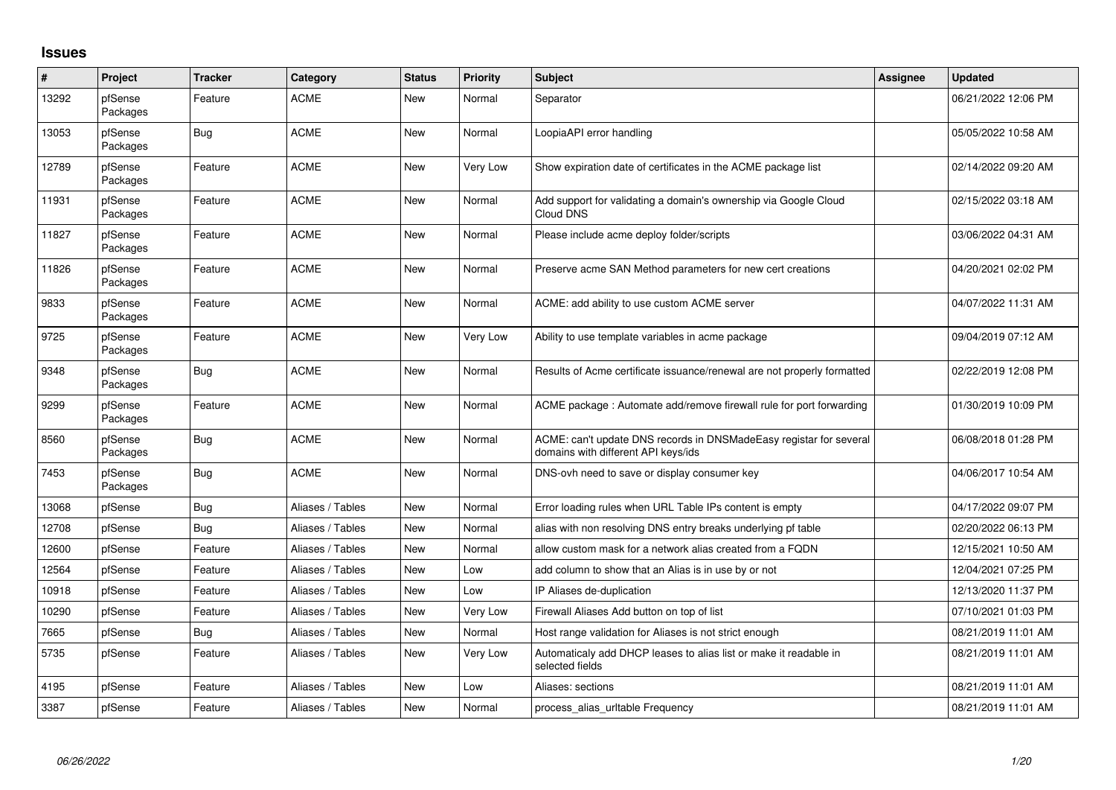## **Issues**

| #     | Project             | <b>Tracker</b> | Category         | <b>Status</b> | <b>Priority</b> | <b>Subject</b>                                                                                            | <b>Assignee</b> | Updated             |
|-------|---------------------|----------------|------------------|---------------|-----------------|-----------------------------------------------------------------------------------------------------------|-----------------|---------------------|
| 13292 | pfSense<br>Packages | Feature        | <b>ACME</b>      | <b>New</b>    | Normal          | Separator                                                                                                 |                 | 06/21/2022 12:06 PM |
| 13053 | pfSense<br>Packages | <b>Bug</b>     | <b>ACME</b>      | <b>New</b>    | Normal          | LoopiaAPI error handling                                                                                  |                 | 05/05/2022 10:58 AM |
| 12789 | pfSense<br>Packages | Feature        | <b>ACME</b>      | New           | Very Low        | Show expiration date of certificates in the ACME package list                                             |                 | 02/14/2022 09:20 AM |
| 11931 | pfSense<br>Packages | Feature        | <b>ACME</b>      | New           | Normal          | Add support for validating a domain's ownership via Google Cloud<br>Cloud DNS                             |                 | 02/15/2022 03:18 AM |
| 11827 | pfSense<br>Packages | Feature        | <b>ACME</b>      | <b>New</b>    | Normal          | Please include acme deploy folder/scripts                                                                 |                 | 03/06/2022 04:31 AM |
| 11826 | pfSense<br>Packages | Feature        | <b>ACME</b>      | New           | Normal          | Preserve acme SAN Method parameters for new cert creations                                                |                 | 04/20/2021 02:02 PM |
| 9833  | pfSense<br>Packages | Feature        | <b>ACME</b>      | <b>New</b>    | Normal          | ACME: add ability to use custom ACME server                                                               |                 | 04/07/2022 11:31 AM |
| 9725  | pfSense<br>Packages | Feature        | <b>ACME</b>      | <b>New</b>    | Very Low        | Ability to use template variables in acme package                                                         |                 | 09/04/2019 07:12 AM |
| 9348  | pfSense<br>Packages | <b>Bug</b>     | <b>ACME</b>      | New           | Normal          | Results of Acme certificate issuance/renewal are not properly formatted                                   |                 | 02/22/2019 12:08 PM |
| 9299  | pfSense<br>Packages | Feature        | <b>ACME</b>      | <b>New</b>    | Normal          | ACME package: Automate add/remove firewall rule for port forwarding                                       |                 | 01/30/2019 10:09 PM |
| 8560  | pfSense<br>Packages | <b>Bug</b>     | <b>ACME</b>      | <b>New</b>    | Normal          | ACME: can't update DNS records in DNSMadeEasy registar for several<br>domains with different API keys/ids |                 | 06/08/2018 01:28 PM |
| 7453  | pfSense<br>Packages | <b>Bug</b>     | <b>ACME</b>      | <b>New</b>    | Normal          | DNS-ovh need to save or display consumer key                                                              |                 | 04/06/2017 10:54 AM |
| 13068 | pfSense             | Bug            | Aliases / Tables | <b>New</b>    | Normal          | Error loading rules when URL Table IPs content is empty                                                   |                 | 04/17/2022 09:07 PM |
| 12708 | pfSense             | Bug            | Aliases / Tables | New           | Normal          | alias with non resolving DNS entry breaks underlying pf table                                             |                 | 02/20/2022 06:13 PM |
| 12600 | pfSense             | Feature        | Aliases / Tables | <b>New</b>    | Normal          | allow custom mask for a network alias created from a FQDN                                                 |                 | 12/15/2021 10:50 AM |
| 12564 | pfSense             | Feature        | Aliases / Tables | New           | Low             | add column to show that an Alias is in use by or not                                                      |                 | 12/04/2021 07:25 PM |
| 10918 | pfSense             | Feature        | Aliases / Tables | <b>New</b>    | Low             | IP Aliases de-duplication                                                                                 |                 | 12/13/2020 11:37 PM |
| 10290 | pfSense             | Feature        | Aliases / Tables | New           | Very Low        | Firewall Aliases Add button on top of list                                                                |                 | 07/10/2021 01:03 PM |
| 7665  | pfSense             | Bug            | Aliases / Tables | New           | Normal          | Host range validation for Aliases is not strict enough                                                    |                 | 08/21/2019 11:01 AM |
| 5735  | pfSense             | Feature        | Aliases / Tables | New           | Very Low        | Automaticaly add DHCP leases to alias list or make it readable in<br>selected fields                      |                 | 08/21/2019 11:01 AM |
| 4195  | pfSense             | Feature        | Aliases / Tables | <b>New</b>    | Low             | Aliases: sections                                                                                         |                 | 08/21/2019 11:01 AM |
| 3387  | pfSense             | Feature        | Aliases / Tables | <b>New</b>    | Normal          | process alias urltable Frequency                                                                          |                 | 08/21/2019 11:01 AM |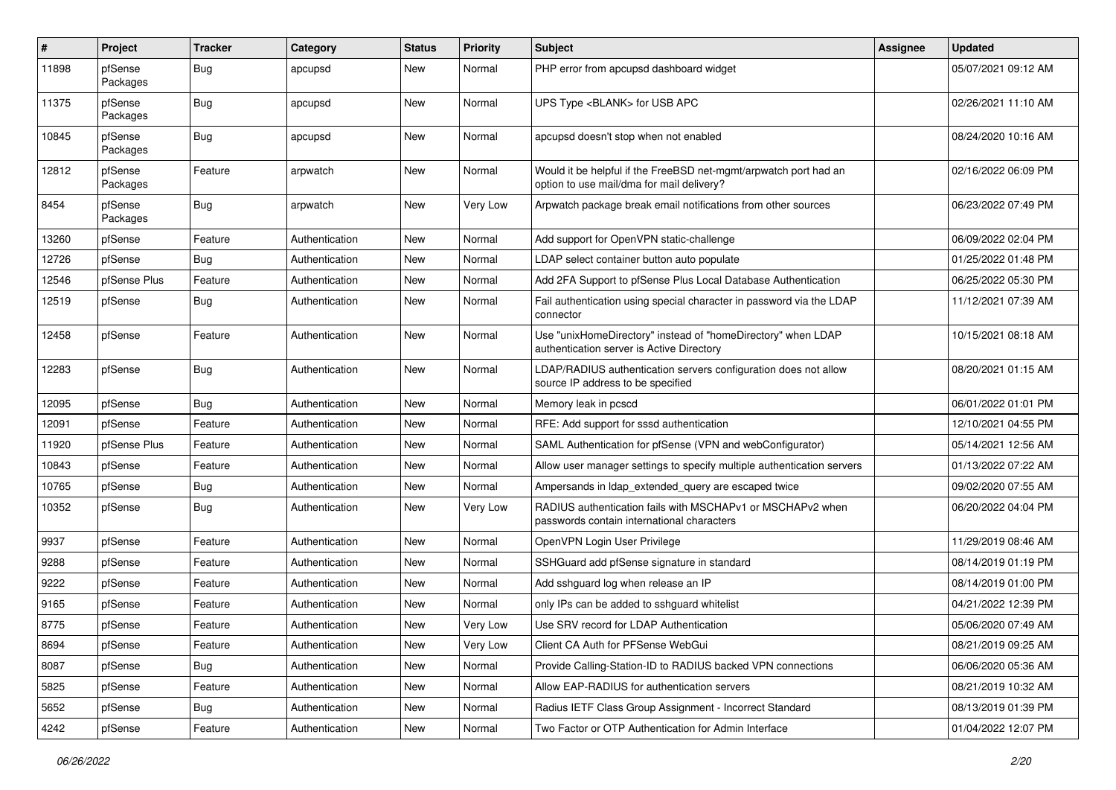| $\pmb{\#}$ | Project             | <b>Tracker</b> | Category       | <b>Status</b> | <b>Priority</b> | <b>Subject</b>                                                                                                | <b>Assignee</b> | <b>Updated</b>      |
|------------|---------------------|----------------|----------------|---------------|-----------------|---------------------------------------------------------------------------------------------------------------|-----------------|---------------------|
| 11898      | pfSense<br>Packages | <b>Bug</b>     | apcupsd        | New           | Normal          | PHP error from apcupsd dashboard widget                                                                       |                 | 05/07/2021 09:12 AM |
| 11375      | pfSense<br>Packages | Bug            | apcupsd        | New           | Normal          | UPS Type <blank> for USB APC</blank>                                                                          |                 | 02/26/2021 11:10 AM |
| 10845      | pfSense<br>Packages | Bug            | apcupsd        | <b>New</b>    | Normal          | apcupsd doesn't stop when not enabled                                                                         |                 | 08/24/2020 10:16 AM |
| 12812      | pfSense<br>Packages | Feature        | arpwatch       | New           | Normal          | Would it be helpful if the FreeBSD net-mgmt/arpwatch port had an<br>option to use mail/dma for mail delivery? |                 | 02/16/2022 06:09 PM |
| 8454       | pfSense<br>Packages | Bug            | arpwatch       | <b>New</b>    | Very Low        | Arpwatch package break email notifications from other sources                                                 |                 | 06/23/2022 07:49 PM |
| 13260      | pfSense             | Feature        | Authentication | New           | Normal          | Add support for OpenVPN static-challenge                                                                      |                 | 06/09/2022 02:04 PM |
| 12726      | pfSense             | <b>Bug</b>     | Authentication | New           | Normal          | LDAP select container button auto populate                                                                    |                 | 01/25/2022 01:48 PM |
| 12546      | pfSense Plus        | Feature        | Authentication | <b>New</b>    | Normal          | Add 2FA Support to pfSense Plus Local Database Authentication                                                 |                 | 06/25/2022 05:30 PM |
| 12519      | pfSense             | <b>Bug</b>     | Authentication | New           | Normal          | Fail authentication using special character in password via the LDAP<br>connector                             |                 | 11/12/2021 07:39 AM |
| 12458      | pfSense             | Feature        | Authentication | <b>New</b>    | Normal          | Use "unixHomeDirectory" instead of "homeDirectory" when LDAP<br>authentication server is Active Directory     |                 | 10/15/2021 08:18 AM |
| 12283      | pfSense             | <b>Bug</b>     | Authentication | New           | Normal          | LDAP/RADIUS authentication servers configuration does not allow<br>source IP address to be specified          |                 | 08/20/2021 01:15 AM |
| 12095      | pfSense             | Bug            | Authentication | New           | Normal          | Memory leak in pcscd                                                                                          |                 | 06/01/2022 01:01 PM |
| 12091      | pfSense             | Feature        | Authentication | New           | Normal          | RFE: Add support for sssd authentication                                                                      |                 | 12/10/2021 04:55 PM |
| 11920      | pfSense Plus        | Feature        | Authentication | New           | Normal          | SAML Authentication for pfSense (VPN and webConfigurator)                                                     |                 | 05/14/2021 12:56 AM |
| 10843      | pfSense             | Feature        | Authentication | New           | Normal          | Allow user manager settings to specify multiple authentication servers                                        |                 | 01/13/2022 07:22 AM |
| 10765      | pfSense             | <b>Bug</b>     | Authentication | <b>New</b>    | Normal          | Ampersands in Idap extended query are escaped twice                                                           |                 | 09/02/2020 07:55 AM |
| 10352      | pfSense             | Bug            | Authentication | New           | Very Low        | RADIUS authentication fails with MSCHAPv1 or MSCHAPv2 when<br>passwords contain international characters      |                 | 06/20/2022 04:04 PM |
| 9937       | pfSense             | Feature        | Authentication | New           | Normal          | OpenVPN Login User Privilege                                                                                  |                 | 11/29/2019 08:46 AM |
| 9288       | pfSense             | Feature        | Authentication | New           | Normal          | SSHGuard add pfSense signature in standard                                                                    |                 | 08/14/2019 01:19 PM |
| 9222       | pfSense             | Feature        | Authentication | New           | Normal          | Add sshguard log when release an IP                                                                           |                 | 08/14/2019 01:00 PM |
| 9165       | pfSense             | Feature        | Authentication | New           | Normal          | only IPs can be added to sshguard whitelist                                                                   |                 | 04/21/2022 12:39 PM |
| 8775       | pfSense             | Feature        | Authentication | New           | Very Low        | Use SRV record for LDAP Authentication                                                                        |                 | 05/06/2020 07:49 AM |
| 8694       | pfSense             | Feature        | Authentication | <b>New</b>    | Very Low        | Client CA Auth for PFSense WebGui                                                                             |                 | 08/21/2019 09:25 AM |
| 8087       | pfSense             | <b>Bug</b>     | Authentication | New           | Normal          | Provide Calling-Station-ID to RADIUS backed VPN connections                                                   |                 | 06/06/2020 05:36 AM |
| 5825       | pfSense             | Feature        | Authentication | New           | Normal          | Allow EAP-RADIUS for authentication servers                                                                   |                 | 08/21/2019 10:32 AM |
| 5652       | pfSense             | <b>Bug</b>     | Authentication | New           | Normal          | Radius IETF Class Group Assignment - Incorrect Standard                                                       |                 | 08/13/2019 01:39 PM |
| 4242       | pfSense             | Feature        | Authentication | New           | Normal          | Two Factor or OTP Authentication for Admin Interface                                                          |                 | 01/04/2022 12:07 PM |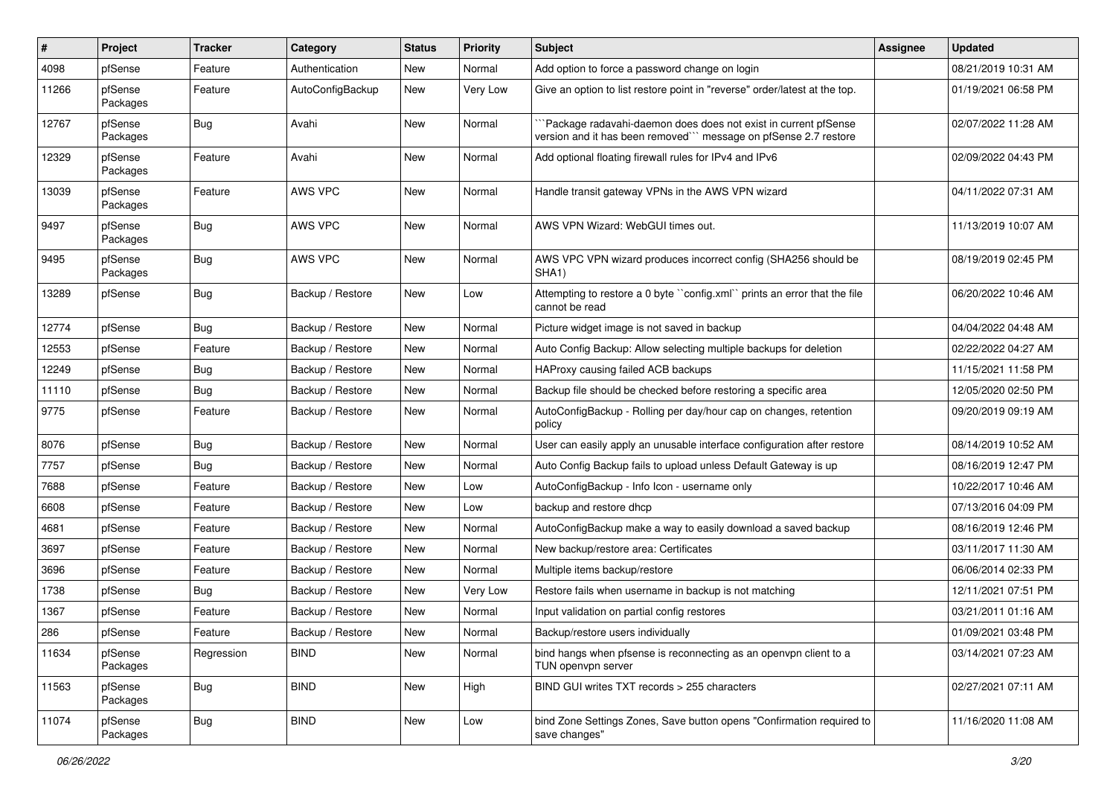| ∦     | Project             | <b>Tracker</b> | Category         | <b>Status</b> | <b>Priority</b> | <b>Subject</b>                                                                                                                     | <b>Assignee</b> | <b>Updated</b>      |
|-------|---------------------|----------------|------------------|---------------|-----------------|------------------------------------------------------------------------------------------------------------------------------------|-----------------|---------------------|
| 4098  | pfSense             | Feature        | Authentication   | New           | Normal          | Add option to force a password change on login                                                                                     |                 | 08/21/2019 10:31 AM |
| 11266 | pfSense<br>Packages | Feature        | AutoConfigBackup | New           | Very Low        | Give an option to list restore point in "reverse" order/latest at the top.                                                         |                 | 01/19/2021 06:58 PM |
| 12767 | pfSense<br>Packages | <b>Bug</b>     | Avahi            | New           | Normal          | 'Package radavahi-daemon does does not exist in current pfSense<br>version and it has been removed" message on pfSense 2.7 restore |                 | 02/07/2022 11:28 AM |
| 12329 | pfSense<br>Packages | Feature        | Avahi            | <b>New</b>    | Normal          | Add optional floating firewall rules for IPv4 and IPv6                                                                             |                 | 02/09/2022 04:43 PM |
| 13039 | pfSense<br>Packages | Feature        | AWS VPC          | <b>New</b>    | Normal          | Handle transit gateway VPNs in the AWS VPN wizard                                                                                  |                 | 04/11/2022 07:31 AM |
| 9497  | pfSense<br>Packages | <b>Bug</b>     | AWS VPC          | New           | Normal          | AWS VPN Wizard: WebGUI times out.                                                                                                  |                 | 11/13/2019 10:07 AM |
| 9495  | pfSense<br>Packages | Bug            | AWS VPC          | <b>New</b>    | Normal          | AWS VPC VPN wizard produces incorrect config (SHA256 should be<br>SHA1)                                                            |                 | 08/19/2019 02:45 PM |
| 13289 | pfSense             | <b>Bug</b>     | Backup / Restore | New           | Low             | Attempting to restore a 0 byte "config.xml" prints an error that the file<br>cannot be read                                        |                 | 06/20/2022 10:46 AM |
| 12774 | pfSense             | <b>Bug</b>     | Backup / Restore | <b>New</b>    | Normal          | Picture widget image is not saved in backup                                                                                        |                 | 04/04/2022 04:48 AM |
| 12553 | pfSense             | Feature        | Backup / Restore | New           | Normal          | Auto Config Backup: Allow selecting multiple backups for deletion                                                                  |                 | 02/22/2022 04:27 AM |
| 12249 | pfSense             | Bug            | Backup / Restore | New           | Normal          | HAProxy causing failed ACB backups                                                                                                 |                 | 11/15/2021 11:58 PM |
| 11110 | pfSense             | <b>Bug</b>     | Backup / Restore | New           | Normal          | Backup file should be checked before restoring a specific area                                                                     |                 | 12/05/2020 02:50 PM |
| 9775  | pfSense             | Feature        | Backup / Restore | New           | Normal          | AutoConfigBackup - Rolling per day/hour cap on changes, retention<br>policy                                                        |                 | 09/20/2019 09:19 AM |
| 8076  | pfSense             | <b>Bug</b>     | Backup / Restore | New           | Normal          | User can easily apply an unusable interface configuration after restore                                                            |                 | 08/14/2019 10:52 AM |
| 7757  | pfSense             | <b>Bug</b>     | Backup / Restore | New           | Normal          | Auto Config Backup fails to upload unless Default Gateway is up                                                                    |                 | 08/16/2019 12:47 PM |
| 7688  | pfSense             | Feature        | Backup / Restore | <b>New</b>    | Low             | AutoConfigBackup - Info Icon - username only                                                                                       |                 | 10/22/2017 10:46 AM |
| 6608  | pfSense             | Feature        | Backup / Restore | New           | Low             | backup and restore dhcp                                                                                                            |                 | 07/13/2016 04:09 PM |
| 4681  | pfSense             | Feature        | Backup / Restore | New           | Normal          | AutoConfigBackup make a way to easily download a saved backup                                                                      |                 | 08/16/2019 12:46 PM |
| 3697  | pfSense             | Feature        | Backup / Restore | New           | Normal          | New backup/restore area: Certificates                                                                                              |                 | 03/11/2017 11:30 AM |
| 3696  | pfSense             | Feature        | Backup / Restore | New           | Normal          | Multiple items backup/restore                                                                                                      |                 | 06/06/2014 02:33 PM |
| 1738  | pfSense             | <b>Bug</b>     | Backup / Restore | New           | Very Low        | Restore fails when username in backup is not matching                                                                              |                 | 12/11/2021 07:51 PM |
| 1367  | pfSense             | Feature        | Backup / Restore | New           | Normal          | Input validation on partial config restores                                                                                        |                 | 03/21/2011 01:16 AM |
| 286   | pfSense             | Feature        | Backup / Restore | New           | Normal          | Backup/restore users individually                                                                                                  |                 | 01/09/2021 03:48 PM |
| 11634 | pfSense<br>Packages | Regression     | <b>BIND</b>      | New           | Normal          | bind hangs when pfsense is reconnecting as an openypn client to a<br>TUN openvpn server                                            |                 | 03/14/2021 07:23 AM |
| 11563 | pfSense<br>Packages | <b>Bug</b>     | <b>BIND</b>      | New           | High            | BIND GUI writes TXT records > 255 characters                                                                                       |                 | 02/27/2021 07:11 AM |
| 11074 | pfSense<br>Packages | <b>Bug</b>     | <b>BIND</b>      | New           | Low             | bind Zone Settings Zones, Save button opens "Confirmation required to<br>save changes"                                             |                 | 11/16/2020 11:08 AM |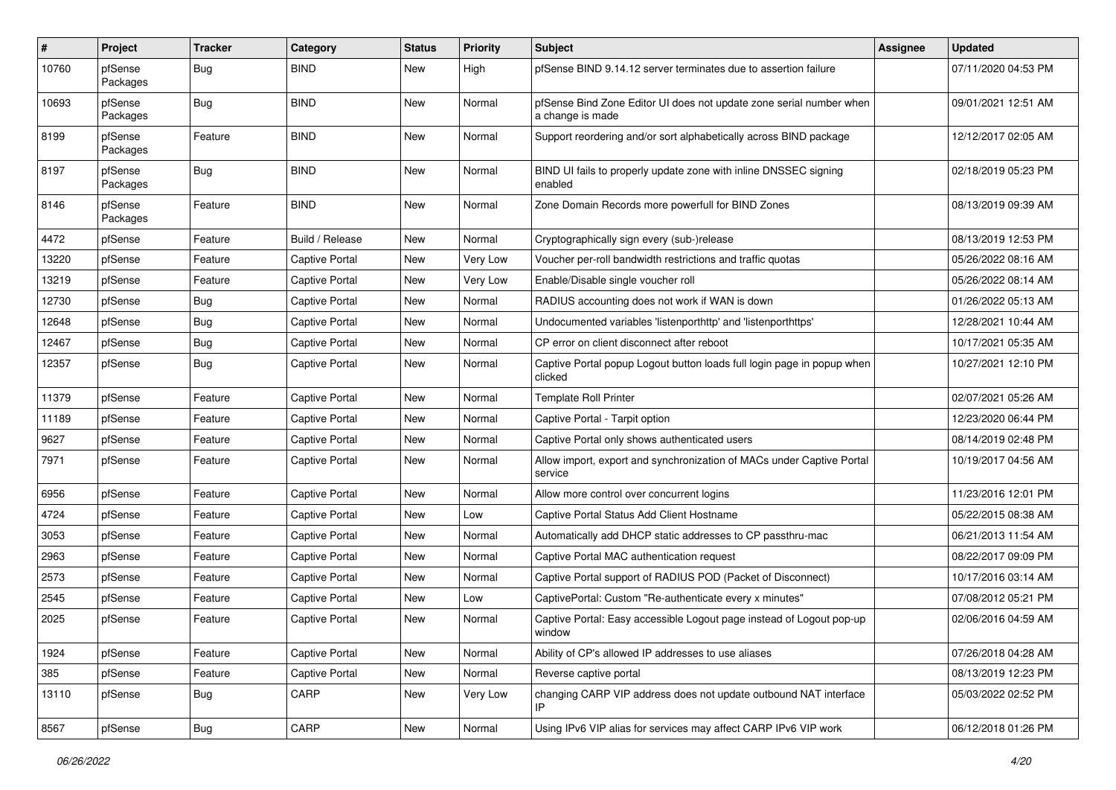| ∦     | Project             | <b>Tracker</b> | Category              | <b>Status</b> | <b>Priority</b> | <b>Subject</b>                                                                          | <b>Assignee</b> | <b>Updated</b>      |
|-------|---------------------|----------------|-----------------------|---------------|-----------------|-----------------------------------------------------------------------------------------|-----------------|---------------------|
| 10760 | pfSense<br>Packages | <b>Bug</b>     | <b>BIND</b>           | New           | High            | pfSense BIND 9.14.12 server terminates due to assertion failure                         |                 | 07/11/2020 04:53 PM |
| 10693 | pfSense<br>Packages | Bug            | <b>BIND</b>           | New           | Normal          | pfSense Bind Zone Editor UI does not update zone serial number when<br>a change is made |                 | 09/01/2021 12:51 AM |
| 8199  | pfSense<br>Packages | Feature        | <b>BIND</b>           | <b>New</b>    | Normal          | Support reordering and/or sort alphabetically across BIND package                       |                 | 12/12/2017 02:05 AM |
| 8197  | pfSense<br>Packages | <b>Bug</b>     | <b>BIND</b>           | New           | Normal          | BIND UI fails to properly update zone with inline DNSSEC signing<br>enabled             |                 | 02/18/2019 05:23 PM |
| 8146  | pfSense<br>Packages | Feature        | <b>BIND</b>           | <b>New</b>    | Normal          | Zone Domain Records more powerfull for BIND Zones                                       |                 | 08/13/2019 09:39 AM |
| 4472  | pfSense             | Feature        | Build / Release       | New           | Normal          | Cryptographically sign every (sub-)release                                              |                 | 08/13/2019 12:53 PM |
| 13220 | pfSense             | Feature        | Captive Portal        | New           | Very Low        | Voucher per-roll bandwidth restrictions and traffic quotas                              |                 | 05/26/2022 08:16 AM |
| 13219 | pfSense             | Feature        | <b>Captive Portal</b> | New           | Very Low        | Enable/Disable single voucher roll                                                      |                 | 05/26/2022 08:14 AM |
| 12730 | pfSense             | <b>Bug</b>     | Captive Portal        | New           | Normal          | RADIUS accounting does not work if WAN is down                                          |                 | 01/26/2022 05:13 AM |
| 12648 | pfSense             | <b>Bug</b>     | Captive Portal        | New           | Normal          | Undocumented variables 'listenporthttp' and 'listenporthttps'                           |                 | 12/28/2021 10:44 AM |
| 12467 | pfSense             | <b>Bug</b>     | Captive Portal        | New           | Normal          | CP error on client disconnect after reboot                                              |                 | 10/17/2021 05:35 AM |
| 12357 | pfSense             | <b>Bug</b>     | <b>Captive Portal</b> | New           | Normal          | Captive Portal popup Logout button loads full login page in popup when<br>clicked       |                 | 10/27/2021 12:10 PM |
| 11379 | pfSense             | Feature        | Captive Portal        | New           | Normal          | <b>Template Roll Printer</b>                                                            |                 | 02/07/2021 05:26 AM |
| 11189 | pfSense             | Feature        | <b>Captive Portal</b> | New           | Normal          | Captive Portal - Tarpit option                                                          |                 | 12/23/2020 06:44 PM |
| 9627  | pfSense             | Feature        | <b>Captive Portal</b> | New           | Normal          | Captive Portal only shows authenticated users                                           |                 | 08/14/2019 02:48 PM |
| 7971  | pfSense             | Feature        | <b>Captive Portal</b> | New           | Normal          | Allow import, export and synchronization of MACs under Captive Portal<br>service        |                 | 10/19/2017 04:56 AM |
| 6956  | pfSense             | Feature        | <b>Captive Portal</b> | New           | Normal          | Allow more control over concurrent logins                                               |                 | 11/23/2016 12:01 PM |
| 4724  | pfSense             | Feature        | Captive Portal        | New           | Low             | Captive Portal Status Add Client Hostname                                               |                 | 05/22/2015 08:38 AM |
| 3053  | pfSense             | Feature        | <b>Captive Portal</b> | New           | Normal          | Automatically add DHCP static addresses to CP passthru-mac                              |                 | 06/21/2013 11:54 AM |
| 2963  | pfSense             | Feature        | Captive Portal        | New           | Normal          | Captive Portal MAC authentication request                                               |                 | 08/22/2017 09:09 PM |
| 2573  | pfSense             | Feature        | <b>Captive Portal</b> | New           | Normal          | Captive Portal support of RADIUS POD (Packet of Disconnect)                             |                 | 10/17/2016 03:14 AM |
| 2545  | pfSense             | Feature        | <b>Captive Portal</b> | New           | Low             | CaptivePortal: Custom "Re-authenticate every x minutes"                                 |                 | 07/08/2012 05:21 PM |
| 2025  | pfSense             | Feature        | <b>Captive Portal</b> | New           | Normal          | Captive Portal: Easy accessible Logout page instead of Logout pop-up<br>window          |                 | 02/06/2016 04:59 AM |
| 1924  | pfSense             | Feature        | Captive Portal        | New           | Normal          | Ability of CP's allowed IP addresses to use aliases                                     |                 | 07/26/2018 04:28 AM |
| 385   | pfSense             | Feature        | Captive Portal        | New           | Normal          | Reverse captive portal                                                                  |                 | 08/13/2019 12:23 PM |
| 13110 | pfSense             | <b>Bug</b>     | CARP                  | New           | Very Low        | changing CARP VIP address does not update outbound NAT interface<br>IP                  |                 | 05/03/2022 02:52 PM |
| 8567  | pfSense             | <b>Bug</b>     | CARP                  | New           | Normal          | Using IPv6 VIP alias for services may affect CARP IPv6 VIP work                         |                 | 06/12/2018 01:26 PM |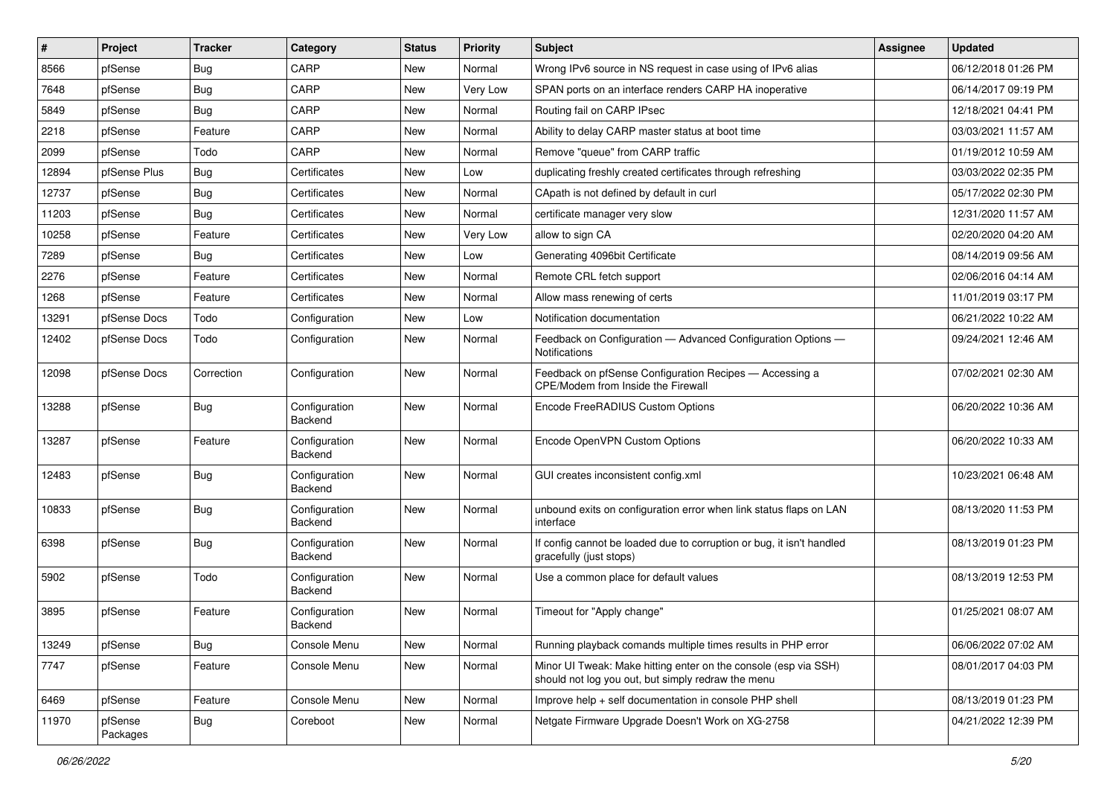| #     | Project             | <b>Tracker</b> | Category                 | <b>Status</b> | <b>Priority</b> | <b>Subject</b>                                                                                                        | <b>Assignee</b> | <b>Updated</b>      |
|-------|---------------------|----------------|--------------------------|---------------|-----------------|-----------------------------------------------------------------------------------------------------------------------|-----------------|---------------------|
| 8566  | pfSense             | <b>Bug</b>     | CARP                     | <b>New</b>    | Normal          | Wrong IPv6 source in NS request in case using of IPv6 alias                                                           |                 | 06/12/2018 01:26 PM |
| 7648  | pfSense             | Bug            | CARP                     | New           | Very Low        | SPAN ports on an interface renders CARP HA inoperative                                                                |                 | 06/14/2017 09:19 PM |
| 5849  | pfSense             | Bug            | CARP                     | New           | Normal          | Routing fail on CARP IPsec                                                                                            |                 | 12/18/2021 04:41 PM |
| 2218  | pfSense             | Feature        | CARP                     | <b>New</b>    | Normal          | Ability to delay CARP master status at boot time                                                                      |                 | 03/03/2021 11:57 AM |
| 2099  | pfSense             | Todo           | CARP                     | <b>New</b>    | Normal          | Remove "queue" from CARP traffic                                                                                      |                 | 01/19/2012 10:59 AM |
| 12894 | pfSense Plus        | <b>Bug</b>     | Certificates             | New           | Low             | duplicating freshly created certificates through refreshing                                                           |                 | 03/03/2022 02:35 PM |
| 12737 | pfSense             | <b>Bug</b>     | Certificates             | New           | Normal          | CApath is not defined by default in curl                                                                              |                 | 05/17/2022 02:30 PM |
| 11203 | pfSense             | <b>Bug</b>     | Certificates             | <b>New</b>    | Normal          | certificate manager very slow                                                                                         |                 | 12/31/2020 11:57 AM |
| 10258 | pfSense             | Feature        | Certificates             | New           | Very Low        | allow to sign CA                                                                                                      |                 | 02/20/2020 04:20 AM |
| 7289  | pfSense             | Bug            | Certificates             | <b>New</b>    | Low             | Generating 4096bit Certificate                                                                                        |                 | 08/14/2019 09:56 AM |
| 2276  | pfSense             | Feature        | Certificates             | New           | Normal          | Remote CRL fetch support                                                                                              |                 | 02/06/2016 04:14 AM |
| 1268  | pfSense             | Feature        | Certificates             | <b>New</b>    | Normal          | Allow mass renewing of certs                                                                                          |                 | 11/01/2019 03:17 PM |
| 13291 | pfSense Docs        | Todo           | Configuration            | <b>New</b>    | Low             | Notification documentation                                                                                            |                 | 06/21/2022 10:22 AM |
| 12402 | pfSense Docs        | Todo           | Configuration            | New           | Normal          | Feedback on Configuration - Advanced Configuration Options -<br>Notifications                                         |                 | 09/24/2021 12:46 AM |
| 12098 | pfSense Docs        | Correction     | Configuration            | New           | Normal          | Feedback on pfSense Configuration Recipes - Accessing a<br>CPE/Modem from Inside the Firewall                         |                 | 07/02/2021 02:30 AM |
| 13288 | pfSense             | Bug            | Configuration<br>Backend | New           | Normal          | Encode FreeRADIUS Custom Options                                                                                      |                 | 06/20/2022 10:36 AM |
| 13287 | pfSense             | Feature        | Configuration<br>Backend | <b>New</b>    | Normal          | Encode OpenVPN Custom Options                                                                                         |                 | 06/20/2022 10:33 AM |
| 12483 | pfSense             | Bug            | Configuration<br>Backend | New           | Normal          | GUI creates inconsistent config.xml                                                                                   |                 | 10/23/2021 06:48 AM |
| 10833 | pfSense             | Bug            | Configuration<br>Backend | New           | Normal          | unbound exits on configuration error when link status flaps on LAN<br>interface                                       |                 | 08/13/2020 11:53 PM |
| 6398  | pfSense             | Bug            | Configuration<br>Backend | New           | Normal          | If config cannot be loaded due to corruption or bug, it isn't handled<br>gracefully (just stops)                      |                 | 08/13/2019 01:23 PM |
| 5902  | pfSense             | Todo           | Configuration<br>Backend | New           | Normal          | Use a common place for default values                                                                                 |                 | 08/13/2019 12:53 PM |
| 3895  | pfSense             | Feature        | Configuration<br>Backend | New           | Normal          | Timeout for "Apply change"                                                                                            |                 | 01/25/2021 08:07 AM |
| 13249 | pfSense             | <b>Bug</b>     | Console Menu             | New           | Normal          | Running playback comands multiple times results in PHP error                                                          |                 | 06/06/2022 07:02 AM |
| 7747  | pfSense             | Feature        | Console Menu             | New           | Normal          | Minor UI Tweak: Make hitting enter on the console (esp via SSH)<br>should not log you out, but simply redraw the menu |                 | 08/01/2017 04:03 PM |
| 6469  | pfSense             | Feature        | Console Menu             | New           | Normal          | Improve help + self documentation in console PHP shell                                                                |                 | 08/13/2019 01:23 PM |
| 11970 | pfSense<br>Packages | Bug            | Coreboot                 | New           | Normal          | Netgate Firmware Upgrade Doesn't Work on XG-2758                                                                      |                 | 04/21/2022 12:39 PM |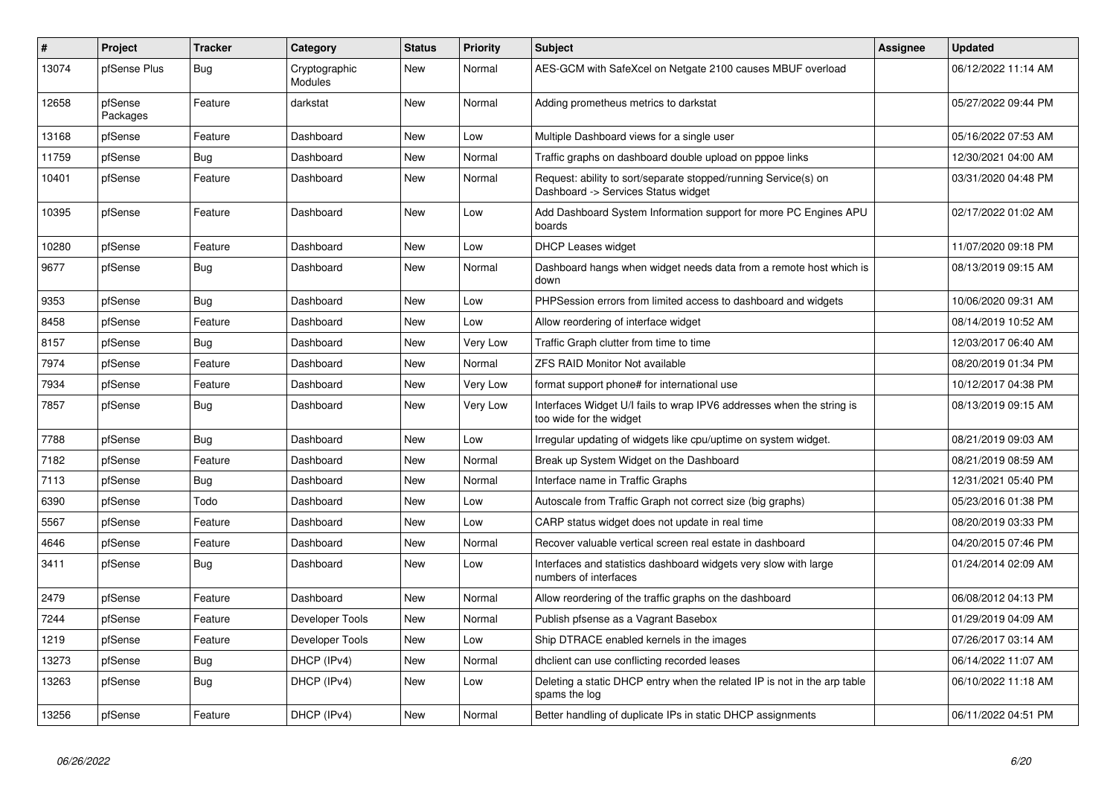| #     | <b>Project</b>      | <b>Tracker</b> | Category                 | <b>Status</b> | <b>Priority</b> | <b>Subject</b>                                                                                         | Assignee | <b>Updated</b>      |
|-------|---------------------|----------------|--------------------------|---------------|-----------------|--------------------------------------------------------------------------------------------------------|----------|---------------------|
| 13074 | pfSense Plus        | Bug            | Cryptographic<br>Modules | <b>New</b>    | Normal          | AES-GCM with SafeXcel on Netgate 2100 causes MBUF overload                                             |          | 06/12/2022 11:14 AM |
| 12658 | pfSense<br>Packages | Feature        | darkstat                 | New           | Normal          | Adding prometheus metrics to darkstat                                                                  |          | 05/27/2022 09:44 PM |
| 13168 | pfSense             | Feature        | Dashboard                | New           | Low             | Multiple Dashboard views for a single user                                                             |          | 05/16/2022 07:53 AM |
| 11759 | pfSense             | Bug            | Dashboard                | New           | Normal          | Traffic graphs on dashboard double upload on pppoe links                                               |          | 12/30/2021 04:00 AM |
| 10401 | pfSense             | Feature        | Dashboard                | New           | Normal          | Request: ability to sort/separate stopped/running Service(s) on<br>Dashboard -> Services Status widget |          | 03/31/2020 04:48 PM |
| 10395 | pfSense             | Feature        | Dashboard                | <b>New</b>    | Low             | Add Dashboard System Information support for more PC Engines APU<br>boards                             |          | 02/17/2022 01:02 AM |
| 10280 | pfSense             | Feature        | Dashboard                | <b>New</b>    | Low             | <b>DHCP Leases widget</b>                                                                              |          | 11/07/2020 09:18 PM |
| 9677  | pfSense             | <b>Bug</b>     | Dashboard                | New           | Normal          | Dashboard hangs when widget needs data from a remote host which is<br>down                             |          | 08/13/2019 09:15 AM |
| 9353  | pfSense             | Bug            | Dashboard                | New           | Low             | PHPSession errors from limited access to dashboard and widgets                                         |          | 10/06/2020 09:31 AM |
| 8458  | pfSense             | Feature        | Dashboard                | New           | Low             | Allow reordering of interface widget                                                                   |          | 08/14/2019 10:52 AM |
| 8157  | pfSense             | Bug            | Dashboard                | New           | Very Low        | Traffic Graph clutter from time to time                                                                |          | 12/03/2017 06:40 AM |
| 7974  | pfSense             | Feature        | Dashboard                | <b>New</b>    | Normal          | <b>ZFS RAID Monitor Not available</b>                                                                  |          | 08/20/2019 01:34 PM |
| 7934  | pfSense             | Feature        | Dashboard                | New           | Very Low        | format support phone# for international use                                                            |          | 10/12/2017 04:38 PM |
| 7857  | pfSense             | Bug            | Dashboard                | New           | Very Low        | Interfaces Widget U/I fails to wrap IPV6 addresses when the string is<br>too wide for the widget       |          | 08/13/2019 09:15 AM |
| 7788  | pfSense             | <b>Bug</b>     | Dashboard                | New           | Low             | Irregular updating of widgets like cpu/uptime on system widget.                                        |          | 08/21/2019 09:03 AM |
| 7182  | pfSense             | Feature        | Dashboard                | New           | Normal          | Break up System Widget on the Dashboard                                                                |          | 08/21/2019 08:59 AM |
| 7113  | pfSense             | <b>Bug</b>     | Dashboard                | <b>New</b>    | Normal          | Interface name in Traffic Graphs                                                                       |          | 12/31/2021 05:40 PM |
| 6390  | pfSense             | Todo           | Dashboard                | <b>New</b>    | Low             | Autoscale from Traffic Graph not correct size (big graphs)                                             |          | 05/23/2016 01:38 PM |
| 5567  | pfSense             | Feature        | Dashboard                | <b>New</b>    | Low             | CARP status widget does not update in real time                                                        |          | 08/20/2019 03:33 PM |
| 4646  | pfSense             | Feature        | Dashboard                | New           | Normal          | Recover valuable vertical screen real estate in dashboard                                              |          | 04/20/2015 07:46 PM |
| 3411  | pfSense             | Bug            | Dashboard                | New           | Low             | Interfaces and statistics dashboard widgets very slow with large<br>numbers of interfaces              |          | 01/24/2014 02:09 AM |
| 2479  | pfSense             | Feature        | Dashboard                | <b>New</b>    | Normal          | Allow reordering of the traffic graphs on the dashboard                                                |          | 06/08/2012 04:13 PM |
| 7244  | pfSense             | Feature        | Developer Tools          | New           | Normal          | Publish pfsense as a Vagrant Basebox                                                                   |          | 01/29/2019 04:09 AM |
| 1219  | pfSense             | Feature        | Developer Tools          | <b>New</b>    | Low             | Ship DTRACE enabled kernels in the images                                                              |          | 07/26/2017 03:14 AM |
| 13273 | pfSense             | <b>Bug</b>     | DHCP (IPv4)              | New           | Normal          | dholient can use conflicting recorded leases                                                           |          | 06/14/2022 11:07 AM |
| 13263 | pfSense             | <b>Bug</b>     | DHCP (IPv4)              | New           | Low             | Deleting a static DHCP entry when the related IP is not in the arp table<br>spams the log              |          | 06/10/2022 11:18 AM |
| 13256 | pfSense             | Feature        | DHCP (IPv4)              | New           | Normal          | Better handling of duplicate IPs in static DHCP assignments                                            |          | 06/11/2022 04:51 PM |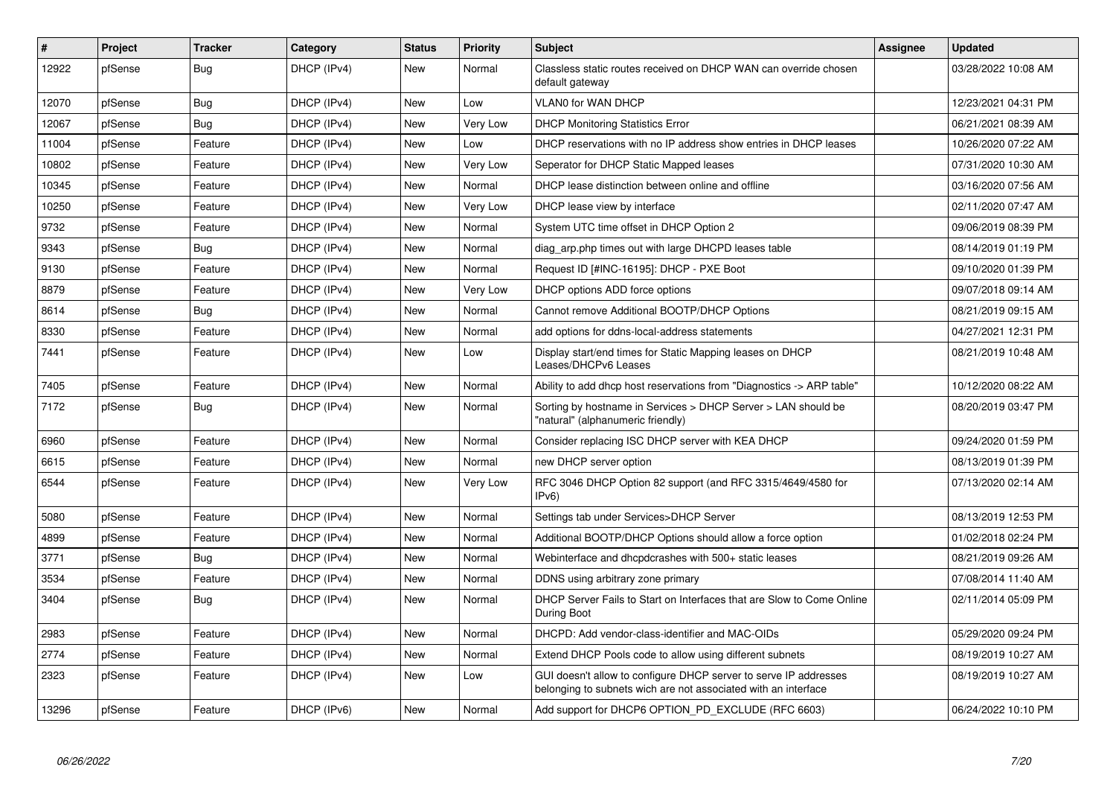| $\pmb{\sharp}$ | Project | <b>Tracker</b> | Category    | <b>Status</b> | <b>Priority</b> | <b>Subject</b>                                                                                                                     | <b>Assignee</b> | Updated             |
|----------------|---------|----------------|-------------|---------------|-----------------|------------------------------------------------------------------------------------------------------------------------------------|-----------------|---------------------|
| 12922          | pfSense | <b>Bug</b>     | DHCP (IPv4) | <b>New</b>    | Normal          | Classless static routes received on DHCP WAN can override chosen<br>default gateway                                                |                 | 03/28/2022 10:08 AM |
| 12070          | pfSense | Bug            | DHCP (IPv4) | New           | Low             | VLAN0 for WAN DHCP                                                                                                                 |                 | 12/23/2021 04:31 PM |
| 12067          | pfSense | Bug            | DHCP (IPv4) | <b>New</b>    | Very Low        | <b>DHCP Monitoring Statistics Error</b>                                                                                            |                 | 06/21/2021 08:39 AM |
| 11004          | pfSense | Feature        | DHCP (IPv4) | New           | Low             | DHCP reservations with no IP address show entries in DHCP leases                                                                   |                 | 10/26/2020 07:22 AM |
| 10802          | pfSense | Feature        | DHCP (IPv4) | <b>New</b>    | Very Low        | Seperator for DHCP Static Mapped leases                                                                                            |                 | 07/31/2020 10:30 AM |
| 10345          | pfSense | Feature        | DHCP (IPv4) | <b>New</b>    | Normal          | DHCP lease distinction between online and offline                                                                                  |                 | 03/16/2020 07:56 AM |
| 10250          | pfSense | Feature        | DHCP (IPv4) | New           | Very Low        | DHCP lease view by interface                                                                                                       |                 | 02/11/2020 07:47 AM |
| 9732           | pfSense | Feature        | DHCP (IPv4) | New           | Normal          | System UTC time offset in DHCP Option 2                                                                                            |                 | 09/06/2019 08:39 PM |
| 9343           | pfSense | Bug            | DHCP (IPv4) | New           | Normal          | diag arp.php times out with large DHCPD leases table                                                                               |                 | 08/14/2019 01:19 PM |
| 9130           | pfSense | Feature        | DHCP (IPv4) | <b>New</b>    | Normal          | Request ID [#INC-16195]: DHCP - PXE Boot                                                                                           |                 | 09/10/2020 01:39 PM |
| 8879           | pfSense | Feature        | DHCP (IPv4) | <b>New</b>    | Very Low        | DHCP options ADD force options                                                                                                     |                 | 09/07/2018 09:14 AM |
| 8614           | pfSense | Bug            | DHCP (IPv4) | <b>New</b>    | Normal          | Cannot remove Additional BOOTP/DHCP Options                                                                                        |                 | 08/21/2019 09:15 AM |
| 8330           | pfSense | Feature        | DHCP (IPv4) | <b>New</b>    | Normal          | add options for ddns-local-address statements                                                                                      |                 | 04/27/2021 12:31 PM |
| 7441           | pfSense | Feature        | DHCP (IPv4) | New           | Low             | Display start/end times for Static Mapping leases on DHCP<br>Leases/DHCPv6 Leases                                                  |                 | 08/21/2019 10:48 AM |
| 7405           | pfSense | Feature        | DHCP (IPv4) | <b>New</b>    | Normal          | Ability to add dhcp host reservations from "Diagnostics -> ARP table"                                                              |                 | 10/12/2020 08:22 AM |
| 7172           | pfSense | <b>Bug</b>     | DHCP (IPv4) | <b>New</b>    | Normal          | Sorting by hostname in Services > DHCP Server > LAN should be<br>"natural" (alphanumeric friendly)                                 |                 | 08/20/2019 03:47 PM |
| 6960           | pfSense | Feature        | DHCP (IPv4) | <b>New</b>    | Normal          | Consider replacing ISC DHCP server with KEA DHCP                                                                                   |                 | 09/24/2020 01:59 PM |
| 6615           | pfSense | Feature        | DHCP (IPv4) | <b>New</b>    | Normal          | new DHCP server option                                                                                                             |                 | 08/13/2019 01:39 PM |
| 6544           | pfSense | Feature        | DHCP (IPv4) | New           | Very Low        | RFC 3046 DHCP Option 82 support (and RFC 3315/4649/4580 for<br>IPv6)                                                               |                 | 07/13/2020 02:14 AM |
| 5080           | pfSense | Feature        | DHCP (IPv4) | <b>New</b>    | Normal          | Settings tab under Services>DHCP Server                                                                                            |                 | 08/13/2019 12:53 PM |
| 4899           | pfSense | Feature        | DHCP (IPv4) | New           | Normal          | Additional BOOTP/DHCP Options should allow a force option                                                                          |                 | 01/02/2018 02:24 PM |
| 3771           | pfSense | Bug            | DHCP (IPv4) | <b>New</b>    | Normal          | Webinterface and dhcpdcrashes with 500+ static leases                                                                              |                 | 08/21/2019 09:26 AM |
| 3534           | pfSense | Feature        | DHCP (IPv4) | <b>New</b>    | Normal          | DDNS using arbitrary zone primary                                                                                                  |                 | 07/08/2014 11:40 AM |
| 3404           | pfSense | Bug            | DHCP (IPv4) | <b>New</b>    | Normal          | DHCP Server Fails to Start on Interfaces that are Slow to Come Online<br>During Boot                                               |                 | 02/11/2014 05:09 PM |
| 2983           | pfSense | Feature        | DHCP (IPv4) | <b>New</b>    | Normal          | DHCPD: Add vendor-class-identifier and MAC-OIDs                                                                                    |                 | 05/29/2020 09:24 PM |
| 2774           | pfSense | Feature        | DHCP (IPv4) | New           | Normal          | Extend DHCP Pools code to allow using different subnets                                                                            |                 | 08/19/2019 10:27 AM |
| 2323           | pfSense | Feature        | DHCP (IPv4) | New           | Low             | GUI doesn't allow to configure DHCP server to serve IP addresses<br>belonging to subnets wich are not associated with an interface |                 | 08/19/2019 10:27 AM |
| 13296          | pfSense | Feature        | DHCP (IPv6) | New           | Normal          | Add support for DHCP6 OPTION PD EXCLUDE (RFC 6603)                                                                                 |                 | 06/24/2022 10:10 PM |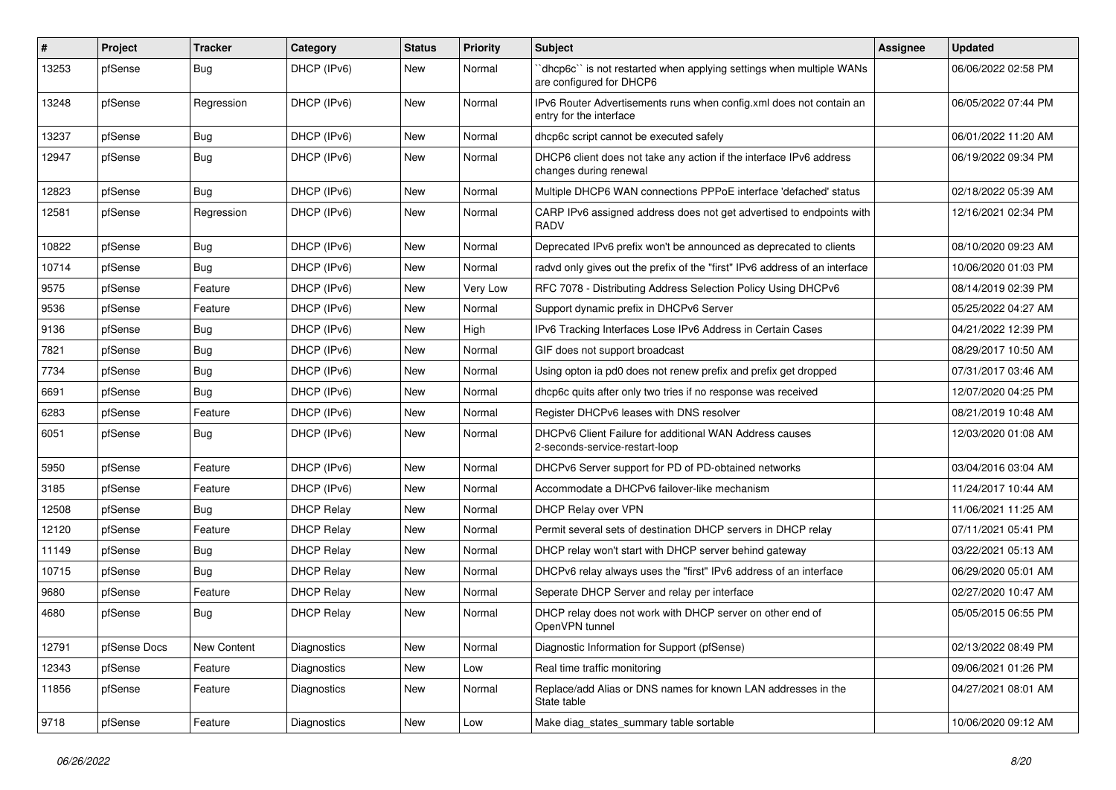| $\#$  | Project      | <b>Tracker</b> | Category          | <b>Status</b> | <b>Priority</b> | <b>Subject</b>                                                                                 | <b>Assignee</b> | <b>Updated</b>      |
|-------|--------------|----------------|-------------------|---------------|-----------------|------------------------------------------------------------------------------------------------|-----------------|---------------------|
| 13253 | pfSense      | <b>Bug</b>     | DHCP (IPv6)       | New           | Normal          | dhcp6c" is not restarted when applying settings when multiple WANs<br>are configured for DHCP6 |                 | 06/06/2022 02:58 PM |
| 13248 | pfSense      | Regression     | DHCP (IPv6)       | New           | Normal          | IPv6 Router Advertisements runs when config.xml does not contain an<br>entry for the interface |                 | 06/05/2022 07:44 PM |
| 13237 | pfSense      | <b>Bug</b>     | DHCP (IPv6)       | <b>New</b>    | Normal          | dhcp6c script cannot be executed safely                                                        |                 | 06/01/2022 11:20 AM |
| 12947 | pfSense      | <b>Bug</b>     | DHCP (IPv6)       | New           | Normal          | DHCP6 client does not take any action if the interface IPv6 address<br>changes during renewal  |                 | 06/19/2022 09:34 PM |
| 12823 | pfSense      | Bug            | DHCP (IPv6)       | New           | Normal          | Multiple DHCP6 WAN connections PPPoE interface 'defached' status                               |                 | 02/18/2022 05:39 AM |
| 12581 | pfSense      | Regression     | DHCP (IPv6)       | New           | Normal          | CARP IPv6 assigned address does not get advertised to endpoints with<br><b>RADV</b>            |                 | 12/16/2021 02:34 PM |
| 10822 | pfSense      | Bug            | DHCP (IPv6)       | New           | Normal          | Deprecated IPv6 prefix won't be announced as deprecated to clients                             |                 | 08/10/2020 09:23 AM |
| 10714 | pfSense      | <b>Bug</b>     | DHCP (IPv6)       | New           | Normal          | radyd only gives out the prefix of the "first" IPv6 address of an interface                    |                 | 10/06/2020 01:03 PM |
| 9575  | pfSense      | Feature        | DHCP (IPv6)       | <b>New</b>    | Very Low        | RFC 7078 - Distributing Address Selection Policy Using DHCPv6                                  |                 | 08/14/2019 02:39 PM |
| 9536  | pfSense      | Feature        | DHCP (IPv6)       | New           | Normal          | Support dynamic prefix in DHCPv6 Server                                                        |                 | 05/25/2022 04:27 AM |
| 9136  | pfSense      | Bug            | DHCP (IPv6)       | New           | High            | IPv6 Tracking Interfaces Lose IPv6 Address in Certain Cases                                    |                 | 04/21/2022 12:39 PM |
| 7821  | pfSense      | <b>Bug</b>     | DHCP (IPv6)       | New           | Normal          | GIF does not support broadcast                                                                 |                 | 08/29/2017 10:50 AM |
| 7734  | pfSense      | <b>Bug</b>     | DHCP (IPv6)       | New           | Normal          | Using opton ia pd0 does not renew prefix and prefix get dropped                                |                 | 07/31/2017 03:46 AM |
| 6691  | pfSense      | <b>Bug</b>     | DHCP (IPv6)       | New           | Normal          | dhcp6c quits after only two tries if no response was received                                  |                 | 12/07/2020 04:25 PM |
| 6283  | pfSense      | Feature        | DHCP (IPv6)       | New           | Normal          | Register DHCPv6 leases with DNS resolver                                                       |                 | 08/21/2019 10:48 AM |
| 6051  | pfSense      | <b>Bug</b>     | DHCP (IPv6)       | New           | Normal          | DHCPv6 Client Failure for additional WAN Address causes<br>2-seconds-service-restart-loop      |                 | 12/03/2020 01:08 AM |
| 5950  | pfSense      | Feature        | DHCP (IPv6)       | <b>New</b>    | Normal          | DHCPv6 Server support for PD of PD-obtained networks                                           |                 | 03/04/2016 03:04 AM |
| 3185  | pfSense      | Feature        | DHCP (IPv6)       | New           | Normal          | Accommodate a DHCPv6 failover-like mechanism                                                   |                 | 11/24/2017 10:44 AM |
| 12508 | pfSense      | Bug            | <b>DHCP Relay</b> | New           | Normal          | DHCP Relay over VPN                                                                            |                 | 11/06/2021 11:25 AM |
| 12120 | pfSense      | Feature        | <b>DHCP Relay</b> | New           | Normal          | Permit several sets of destination DHCP servers in DHCP relay                                  |                 | 07/11/2021 05:41 PM |
| 11149 | pfSense      | Bug            | <b>DHCP Relay</b> | <b>New</b>    | Normal          | DHCP relay won't start with DHCP server behind gateway                                         |                 | 03/22/2021 05:13 AM |
| 10715 | pfSense      | <b>Bug</b>     | <b>DHCP Relay</b> | New           | Normal          | DHCPv6 relay always uses the "first" IPv6 address of an interface                              |                 | 06/29/2020 05:01 AM |
| 9680  | pfSense      | Feature        | <b>DHCP Relay</b> | New           | Normal          | Seperate DHCP Server and relay per interface                                                   |                 | 02/27/2020 10:47 AM |
| 4680  | pfSense      | <b>Bug</b>     | <b>DHCP Relay</b> | New           | Normal          | DHCP relay does not work with DHCP server on other end of<br>OpenVPN tunnel                    |                 | 05/05/2015 06:55 PM |
| 12791 | pfSense Docs | New Content    | Diagnostics       | <b>New</b>    | Normal          | Diagnostic Information for Support (pfSense)                                                   |                 | 02/13/2022 08:49 PM |
| 12343 | pfSense      | Feature        | Diagnostics       | New           | Low             | Real time traffic monitoring                                                                   |                 | 09/06/2021 01:26 PM |
| 11856 | pfSense      | Feature        | Diagnostics       | New           | Normal          | Replace/add Alias or DNS names for known LAN addresses in the<br>State table                   |                 | 04/27/2021 08:01 AM |
| 9718  | pfSense      | Feature        | Diagnostics       | New           | Low             | Make diag_states_summary table sortable                                                        |                 | 10/06/2020 09:12 AM |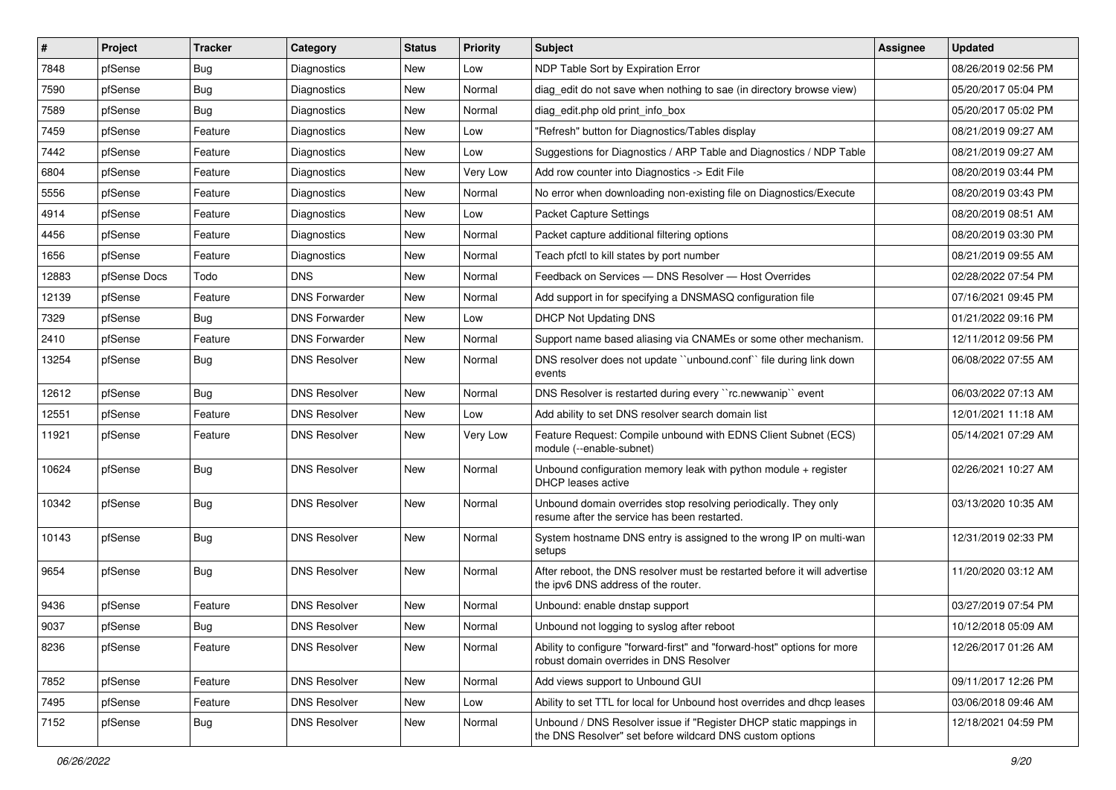| #     | Project      | <b>Tracker</b> | Category             | <b>Status</b> | <b>Priority</b> | <b>Subject</b>                                                                                                                | <b>Assignee</b> | <b>Updated</b>      |
|-------|--------------|----------------|----------------------|---------------|-----------------|-------------------------------------------------------------------------------------------------------------------------------|-----------------|---------------------|
| 7848  | pfSense      | Bug            | Diagnostics          | <b>New</b>    | Low             | NDP Table Sort by Expiration Error                                                                                            |                 | 08/26/2019 02:56 PM |
| 7590  | pfSense      | Bug            | Diagnostics          | New           | Normal          | diag edit do not save when nothing to sae (in directory browse view)                                                          |                 | 05/20/2017 05:04 PM |
| 7589  | pfSense      | Bug            | Diagnostics          | New           | Normal          | diag edit.php old print info box                                                                                              |                 | 05/20/2017 05:02 PM |
| 7459  | pfSense      | Feature        | Diagnostics          | <b>New</b>    | Low             | "Refresh" button for Diagnostics/Tables display                                                                               |                 | 08/21/2019 09:27 AM |
| 7442  | pfSense      | Feature        | Diagnostics          | New           | Low             | Suggestions for Diagnostics / ARP Table and Diagnostics / NDP Table                                                           |                 | 08/21/2019 09:27 AM |
| 6804  | pfSense      | Feature        | Diagnostics          | New           | Very Low        | Add row counter into Diagnostics -> Edit File                                                                                 |                 | 08/20/2019 03:44 PM |
| 5556  | pfSense      | Feature        | Diagnostics          | New           | Normal          | No error when downloading non-existing file on Diagnostics/Execute                                                            |                 | 08/20/2019 03:43 PM |
| 4914  | pfSense      | Feature        | Diagnostics          | <b>New</b>    | Low             | Packet Capture Settings                                                                                                       |                 | 08/20/2019 08:51 AM |
| 4456  | pfSense      | Feature        | Diagnostics          | New           | Normal          | Packet capture additional filtering options                                                                                   |                 | 08/20/2019 03:30 PM |
| 1656  | pfSense      | Feature        | Diagnostics          | <b>New</b>    | Normal          | Teach pfctl to kill states by port number                                                                                     |                 | 08/21/2019 09:55 AM |
| 12883 | pfSense Docs | Todo           | DNS.                 | New           | Normal          | Feedback on Services - DNS Resolver - Host Overrides                                                                          |                 | 02/28/2022 07:54 PM |
| 12139 | pfSense      | Feature        | <b>DNS Forwarder</b> | <b>New</b>    | Normal          | Add support in for specifying a DNSMASQ configuration file                                                                    |                 | 07/16/2021 09:45 PM |
| 7329  | pfSense      | Bug            | <b>DNS Forwarder</b> | <b>New</b>    | Low             | <b>DHCP Not Updating DNS</b>                                                                                                  |                 | 01/21/2022 09:16 PM |
| 2410  | pfSense      | Feature        | <b>DNS Forwarder</b> | New           | Normal          | Support name based aliasing via CNAMEs or some other mechanism.                                                               |                 | 12/11/2012 09:56 PM |
| 13254 | pfSense      | <b>Bug</b>     | <b>DNS Resolver</b>  | New           | Normal          | DNS resolver does not update "unbound.conf" file during link down<br>events                                                   |                 | 06/08/2022 07:55 AM |
| 12612 | pfSense      | Bug            | <b>DNS Resolver</b>  | <b>New</b>    | Normal          | DNS Resolver is restarted during every "rc.newwanip" event                                                                    |                 | 06/03/2022 07:13 AM |
| 12551 | pfSense      | Feature        | <b>DNS Resolver</b>  | New           | Low             | Add ability to set DNS resolver search domain list                                                                            |                 | 12/01/2021 11:18 AM |
| 11921 | pfSense      | Feature        | <b>DNS Resolver</b>  | New           | Very Low        | Feature Request: Compile unbound with EDNS Client Subnet (ECS)<br>module (--enable-subnet)                                    |                 | 05/14/2021 07:29 AM |
| 10624 | pfSense      | <b>Bug</b>     | <b>DNS Resolver</b>  | New           | Normal          | Unbound configuration memory leak with python module $+$ register<br>DHCP leases active                                       |                 | 02/26/2021 10:27 AM |
| 10342 | pfSense      | Bug            | <b>DNS Resolver</b>  | New           | Normal          | Unbound domain overrides stop resolving periodically. They only<br>resume after the service has been restarted.               |                 | 03/13/2020 10:35 AM |
| 10143 | pfSense      | Bug            | <b>DNS Resolver</b>  | New           | Normal          | System hostname DNS entry is assigned to the wrong IP on multi-wan<br>setups                                                  |                 | 12/31/2019 02:33 PM |
| 9654  | pfSense      | <b>Bug</b>     | <b>DNS Resolver</b>  | New           | Normal          | After reboot, the DNS resolver must be restarted before it will advertise<br>the ipv6 DNS address of the router.              |                 | 11/20/2020 03:12 AM |
| 9436  | pfSense      | Feature        | <b>DNS Resolver</b>  | <b>New</b>    | Normal          | Unbound: enable dnstap support                                                                                                |                 | 03/27/2019 07:54 PM |
| 9037  | pfSense      | <b>Bug</b>     | <b>DNS Resolver</b>  | New           | Normal          | Unbound not logging to syslog after reboot                                                                                    |                 | 10/12/2018 05:09 AM |
| 8236  | pfSense      | Feature        | <b>DNS Resolver</b>  | New           | Normal          | Ability to configure "forward-first" and "forward-host" options for more<br>robust domain overrides in DNS Resolver           |                 | 12/26/2017 01:26 AM |
| 7852  | pfSense      | Feature        | <b>DNS Resolver</b>  | New           | Normal          | Add views support to Unbound GUI                                                                                              |                 | 09/11/2017 12:26 PM |
| 7495  | pfSense      | Feature        | <b>DNS Resolver</b>  | New           | Low             | Ability to set TTL for local for Unbound host overrides and dhcp leases                                                       |                 | 03/06/2018 09:46 AM |
| 7152  | pfSense      | <b>Bug</b>     | <b>DNS Resolver</b>  | New           | Normal          | Unbound / DNS Resolver issue if "Register DHCP static mappings in<br>the DNS Resolver" set before wildcard DNS custom options |                 | 12/18/2021 04:59 PM |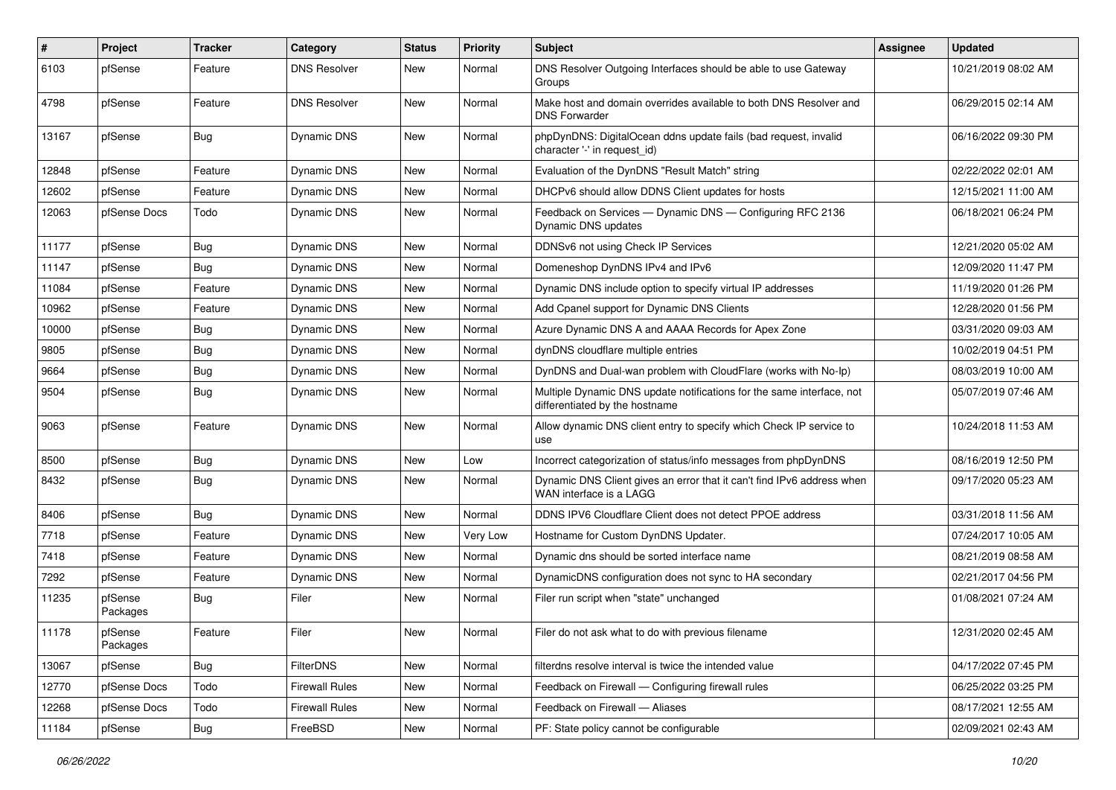| #     | Project             | <b>Tracker</b> | Category              | <b>Status</b> | <b>Priority</b> | Subject                                                                                                 | <b>Assignee</b> | <b>Updated</b>      |
|-------|---------------------|----------------|-----------------------|---------------|-----------------|---------------------------------------------------------------------------------------------------------|-----------------|---------------------|
| 6103  | pfSense             | Feature        | <b>DNS Resolver</b>   | New           | Normal          | DNS Resolver Outgoing Interfaces should be able to use Gateway<br>Groups                                |                 | 10/21/2019 08:02 AM |
| 4798  | pfSense             | Feature        | <b>DNS Resolver</b>   | New           | Normal          | Make host and domain overrides available to both DNS Resolver and<br><b>DNS Forwarder</b>               |                 | 06/29/2015 02:14 AM |
| 13167 | pfSense             | <b>Bug</b>     | Dynamic DNS           | New           | Normal          | phpDynDNS: DigitalOcean ddns update fails (bad request, invalid<br>character '-' in request_id)         |                 | 06/16/2022 09:30 PM |
| 12848 | pfSense             | Feature        | Dynamic DNS           | New           | Normal          | Evaluation of the DynDNS "Result Match" string                                                          |                 | 02/22/2022 02:01 AM |
| 12602 | pfSense             | Feature        | Dynamic DNS           | <b>New</b>    | Normal          | DHCPv6 should allow DDNS Client updates for hosts                                                       |                 | 12/15/2021 11:00 AM |
| 12063 | pfSense Docs        | Todo           | Dynamic DNS           | New           | Normal          | Feedback on Services - Dynamic DNS - Configuring RFC 2136<br>Dynamic DNS updates                        |                 | 06/18/2021 06:24 PM |
| 11177 | pfSense             | <b>Bug</b>     | Dynamic DNS           | New           | Normal          | DDNSv6 not using Check IP Services                                                                      |                 | 12/21/2020 05:02 AM |
| 11147 | pfSense             | Bug            | Dynamic DNS           | <b>New</b>    | Normal          | Domeneshop DynDNS IPv4 and IPv6                                                                         |                 | 12/09/2020 11:47 PM |
| 11084 | pfSense             | Feature        | Dynamic DNS           | <b>New</b>    | Normal          | Dynamic DNS include option to specify virtual IP addresses                                              |                 | 11/19/2020 01:26 PM |
| 10962 | pfSense             | Feature        | Dynamic DNS           | <b>New</b>    | Normal          | Add Cpanel support for Dynamic DNS Clients                                                              |                 | 12/28/2020 01:56 PM |
| 10000 | pfSense             | <b>Bug</b>     | Dynamic DNS           | New           | Normal          | Azure Dynamic DNS A and AAAA Records for Apex Zone                                                      |                 | 03/31/2020 09:03 AM |
| 9805  | pfSense             | <b>Bug</b>     | Dynamic DNS           | <b>New</b>    | Normal          | dynDNS cloudflare multiple entries                                                                      |                 | 10/02/2019 04:51 PM |
| 9664  | pfSense             | <b>Bug</b>     | Dynamic DNS           | New           | Normal          | DynDNS and Dual-wan problem with CloudFlare (works with No-Ip)                                          |                 | 08/03/2019 10:00 AM |
| 9504  | pfSense             | <b>Bug</b>     | Dynamic DNS           | New           | Normal          | Multiple Dynamic DNS update notifications for the same interface, not<br>differentiated by the hostname |                 | 05/07/2019 07:46 AM |
| 9063  | pfSense             | Feature        | Dynamic DNS           | New           | Normal          | Allow dynamic DNS client entry to specify which Check IP service to<br>use                              |                 | 10/24/2018 11:53 AM |
| 8500  | pfSense             | <b>Bug</b>     | Dynamic DNS           | New           | Low             | Incorrect categorization of status/info messages from phpDynDNS                                         |                 | 08/16/2019 12:50 PM |
| 8432  | pfSense             | <b>Bug</b>     | Dynamic DNS           | New           | Normal          | Dynamic DNS Client gives an error that it can't find IPv6 address when<br>WAN interface is a LAGG       |                 | 09/17/2020 05:23 AM |
| 8406  | pfSense             | Bug            | Dynamic DNS           | New           | Normal          | DDNS IPV6 Cloudflare Client does not detect PPOE address                                                |                 | 03/31/2018 11:56 AM |
| 7718  | pfSense             | Feature        | Dynamic DNS           | <b>New</b>    | Very Low        | Hostname for Custom DynDNS Updater.                                                                     |                 | 07/24/2017 10:05 AM |
| 7418  | pfSense             | Feature        | <b>Dynamic DNS</b>    | New           | Normal          | Dynamic dns should be sorted interface name                                                             |                 | 08/21/2019 08:58 AM |
| 7292  | pfSense             | Feature        | <b>Dynamic DNS</b>    | New           | Normal          | DynamicDNS configuration does not sync to HA secondary                                                  |                 | 02/21/2017 04:56 PM |
| 11235 | pfSense<br>Packages | <b>Bug</b>     | Filer                 | New           | Normal          | Filer run script when "state" unchanged                                                                 |                 | 01/08/2021 07:24 AM |
| 11178 | pfSense<br>Packages | Feature        | Filer                 | New           | Normal          | Filer do not ask what to do with previous filename                                                      |                 | 12/31/2020 02:45 AM |
| 13067 | pfSense             | Bug            | <b>FilterDNS</b>      | New           | Normal          | filterdns resolve interval is twice the intended value                                                  |                 | 04/17/2022 07:45 PM |
| 12770 | pfSense Docs        | Todo           | <b>Firewall Rules</b> | New           | Normal          | Feedback on Firewall - Configuring firewall rules                                                       |                 | 06/25/2022 03:25 PM |
| 12268 | pfSense Docs        | Todo           | <b>Firewall Rules</b> | New           | Normal          | Feedback on Firewall - Aliases                                                                          |                 | 08/17/2021 12:55 AM |
| 11184 | pfSense             | Bug            | FreeBSD               | New           | Normal          | PF: State policy cannot be configurable                                                                 |                 | 02/09/2021 02:43 AM |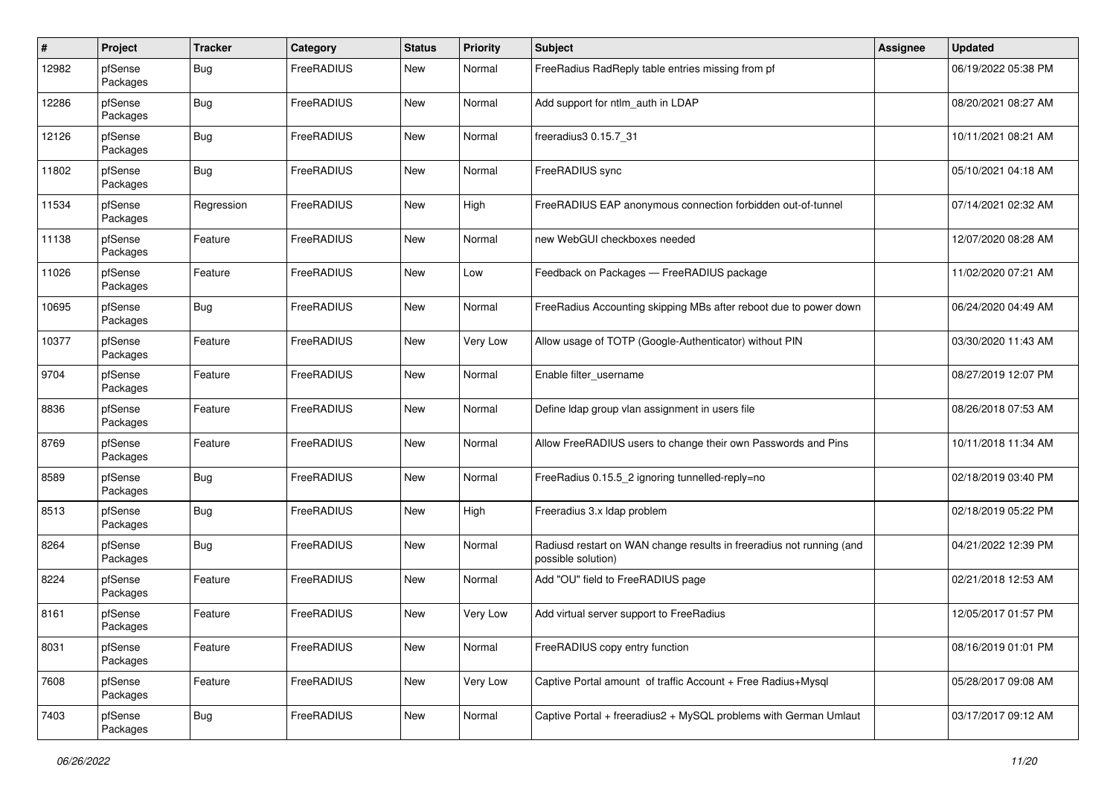| #     | Project             | <b>Tracker</b> | Category   | <b>Status</b> | <b>Priority</b> | <b>Subject</b>                                                                             | <b>Assignee</b> | <b>Updated</b>      |
|-------|---------------------|----------------|------------|---------------|-----------------|--------------------------------------------------------------------------------------------|-----------------|---------------------|
| 12982 | pfSense<br>Packages | Bug            | FreeRADIUS | <b>New</b>    | Normal          | FreeRadius RadReply table entries missing from pf                                          |                 | 06/19/2022 05:38 PM |
| 12286 | pfSense<br>Packages | Bug            | FreeRADIUS | <b>New</b>    | Normal          | Add support for ntlm auth in LDAP                                                          |                 | 08/20/2021 08:27 AM |
| 12126 | pfSense<br>Packages | <b>Bug</b>     | FreeRADIUS | New           | Normal          | freeradius3 0.15.7 31                                                                      |                 | 10/11/2021 08:21 AM |
| 11802 | pfSense<br>Packages | Bug            | FreeRADIUS | <b>New</b>    | Normal          | FreeRADIUS sync                                                                            |                 | 05/10/2021 04:18 AM |
| 11534 | pfSense<br>Packages | Regression     | FreeRADIUS | <b>New</b>    | High            | FreeRADIUS EAP anonymous connection forbidden out-of-tunnel                                |                 | 07/14/2021 02:32 AM |
| 11138 | pfSense<br>Packages | Feature        | FreeRADIUS | New           | Normal          | new WebGUI checkboxes needed                                                               |                 | 12/07/2020 08:28 AM |
| 11026 | pfSense<br>Packages | Feature        | FreeRADIUS | <b>New</b>    | Low             | Feedback on Packages - FreeRADIUS package                                                  |                 | 11/02/2020 07:21 AM |
| 10695 | pfSense<br>Packages | Bug            | FreeRADIUS | New           | Normal          | FreeRadius Accounting skipping MBs after reboot due to power down                          |                 | 06/24/2020 04:49 AM |
| 10377 | pfSense<br>Packages | Feature        | FreeRADIUS | New           | Very Low        | Allow usage of TOTP (Google-Authenticator) without PIN                                     |                 | 03/30/2020 11:43 AM |
| 9704  | pfSense<br>Packages | Feature        | FreeRADIUS | <b>New</b>    | Normal          | Enable filter_username                                                                     |                 | 08/27/2019 12:07 PM |
| 8836  | pfSense<br>Packages | Feature        | FreeRADIUS | New           | Normal          | Define Idap group vlan assignment in users file                                            |                 | 08/26/2018 07:53 AM |
| 8769  | pfSense<br>Packages | Feature        | FreeRADIUS | New           | Normal          | Allow FreeRADIUS users to change their own Passwords and Pins                              |                 | 10/11/2018 11:34 AM |
| 8589  | pfSense<br>Packages | <b>Bug</b>     | FreeRADIUS | New           | Normal          | FreeRadius 0.15.5_2 ignoring tunnelled-reply=no                                            |                 | 02/18/2019 03:40 PM |
| 8513  | pfSense<br>Packages | <b>Bug</b>     | FreeRADIUS | New           | High            | Freeradius 3.x Idap problem                                                                |                 | 02/18/2019 05:22 PM |
| 8264  | pfSense<br>Packages | Bug            | FreeRADIUS | New           | Normal          | Radiusd restart on WAN change results in freeradius not running (and<br>possible solution) |                 | 04/21/2022 12:39 PM |
| 8224  | pfSense<br>Packages | Feature        | FreeRADIUS | New           | Normal          | Add "OU" field to FreeRADIUS page                                                          |                 | 02/21/2018 12:53 AM |
| 8161  | pfSense<br>Packages | Feature        | FreeRADIUS | New           | Very Low        | Add virtual server support to FreeRadius                                                   |                 | 12/05/2017 01:57 PM |
| 8031  | pfSense<br>Packages | Feature        | FreeRADIUS | New           | Normal          | FreeRADIUS copy entry function                                                             |                 | 08/16/2019 01:01 PM |
| 7608  | pfSense<br>Packages | Feature        | FreeRADIUS | New           | Very Low        | Captive Portal amount of traffic Account + Free Radius+Mysql                               |                 | 05/28/2017 09:08 AM |
| 7403  | pfSense<br>Packages | <b>Bug</b>     | FreeRADIUS | New           | Normal          | Captive Portal + freeradius2 + MySQL problems with German Umlaut                           |                 | 03/17/2017 09:12 AM |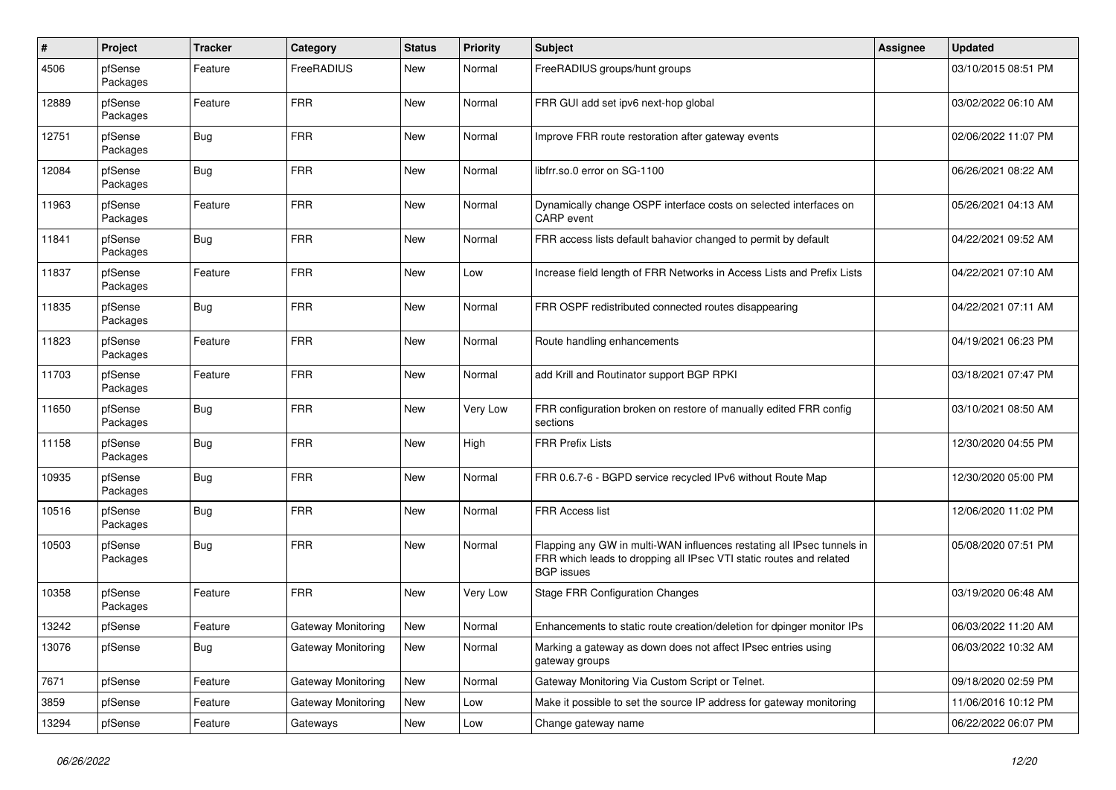| $\sharp$ | Project             | <b>Tracker</b> | Category                  | <b>Status</b> | <b>Priority</b> | <b>Subject</b>                                                                                                                                                     | Assignee | <b>Updated</b>      |
|----------|---------------------|----------------|---------------------------|---------------|-----------------|--------------------------------------------------------------------------------------------------------------------------------------------------------------------|----------|---------------------|
| 4506     | pfSense<br>Packages | Feature        | FreeRADIUS                | New           | Normal          | FreeRADIUS groups/hunt groups                                                                                                                                      |          | 03/10/2015 08:51 PM |
| 12889    | pfSense<br>Packages | Feature        | <b>FRR</b>                | <b>New</b>    | Normal          | FRR GUI add set ipv6 next-hop global                                                                                                                               |          | 03/02/2022 06:10 AM |
| 12751    | pfSense<br>Packages | <b>Bug</b>     | <b>FRR</b>                | <b>New</b>    | Normal          | Improve FRR route restoration after gateway events                                                                                                                 |          | 02/06/2022 11:07 PM |
| 12084    | pfSense<br>Packages | <b>Bug</b>     | <b>FRR</b>                | <b>New</b>    | Normal          | libfrr.so.0 error on SG-1100                                                                                                                                       |          | 06/26/2021 08:22 AM |
| 11963    | pfSense<br>Packages | Feature        | <b>FRR</b>                | <b>New</b>    | Normal          | Dynamically change OSPF interface costs on selected interfaces on<br>CARP event                                                                                    |          | 05/26/2021 04:13 AM |
| 11841    | pfSense<br>Packages | Bug            | <b>FRR</b>                | New           | Normal          | FRR access lists default bahavior changed to permit by default                                                                                                     |          | 04/22/2021 09:52 AM |
| 11837    | pfSense<br>Packages | Feature        | <b>FRR</b>                | <b>New</b>    | Low             | Increase field length of FRR Networks in Access Lists and Prefix Lists                                                                                             |          | 04/22/2021 07:10 AM |
| 11835    | pfSense<br>Packages | <b>Bug</b>     | <b>FRR</b>                | New           | Normal          | FRR OSPF redistributed connected routes disappearing                                                                                                               |          | 04/22/2021 07:11 AM |
| 11823    | pfSense<br>Packages | Feature        | <b>FRR</b>                | New           | Normal          | Route handling enhancements                                                                                                                                        |          | 04/19/2021 06:23 PM |
| 11703    | pfSense<br>Packages | Feature        | <b>FRR</b>                | <b>New</b>    | Normal          | add Krill and Routinator support BGP RPKI                                                                                                                          |          | 03/18/2021 07:47 PM |
| 11650    | pfSense<br>Packages | <b>Bug</b>     | <b>FRR</b>                | <b>New</b>    | Very Low        | FRR configuration broken on restore of manually edited FRR config<br>sections                                                                                      |          | 03/10/2021 08:50 AM |
| 11158    | pfSense<br>Packages | <b>Bug</b>     | <b>FRR</b>                | New           | High            | <b>FRR Prefix Lists</b>                                                                                                                                            |          | 12/30/2020 04:55 PM |
| 10935    | pfSense<br>Packages | <b>Bug</b>     | <b>FRR</b>                | <b>New</b>    | Normal          | FRR 0.6.7-6 - BGPD service recycled IPv6 without Route Map                                                                                                         |          | 12/30/2020 05:00 PM |
| 10516    | pfSense<br>Packages | <b>Bug</b>     | <b>FRR</b>                | <b>New</b>    | Normal          | <b>FRR Access list</b>                                                                                                                                             |          | 12/06/2020 11:02 PM |
| 10503    | pfSense<br>Packages | Bug            | FRR                       | New           | Normal          | Flapping any GW in multi-WAN influences restating all IPsec tunnels in<br>FRR which leads to dropping all IPsec VTI static routes and related<br><b>BGP</b> issues |          | 05/08/2020 07:51 PM |
| 10358    | pfSense<br>Packages | Feature        | <b>FRR</b>                | New           | Very Low        | <b>Stage FRR Configuration Changes</b>                                                                                                                             |          | 03/19/2020 06:48 AM |
| 13242    | pfSense             | Feature        | Gateway Monitoring        | New           | Normal          | Enhancements to static route creation/deletion for dpinger monitor IPs                                                                                             |          | 06/03/2022 11:20 AM |
| 13076    | pfSense             | <b>Bug</b>     | <b>Gateway Monitoring</b> | New           | Normal          | Marking a gateway as down does not affect IPsec entries using<br>gateway groups                                                                                    |          | 06/03/2022 10:32 AM |
| 7671     | pfSense             | Feature        | Gateway Monitoring        | New           | Normal          | Gateway Monitoring Via Custom Script or Telnet.                                                                                                                    |          | 09/18/2020 02:59 PM |
| 3859     | pfSense             | Feature        | Gateway Monitoring        | New           | Low             | Make it possible to set the source IP address for gateway monitoring                                                                                               |          | 11/06/2016 10:12 PM |
| 13294    | pfSense             | Feature        | Gateways                  | New           | Low             | Change gateway name                                                                                                                                                |          | 06/22/2022 06:07 PM |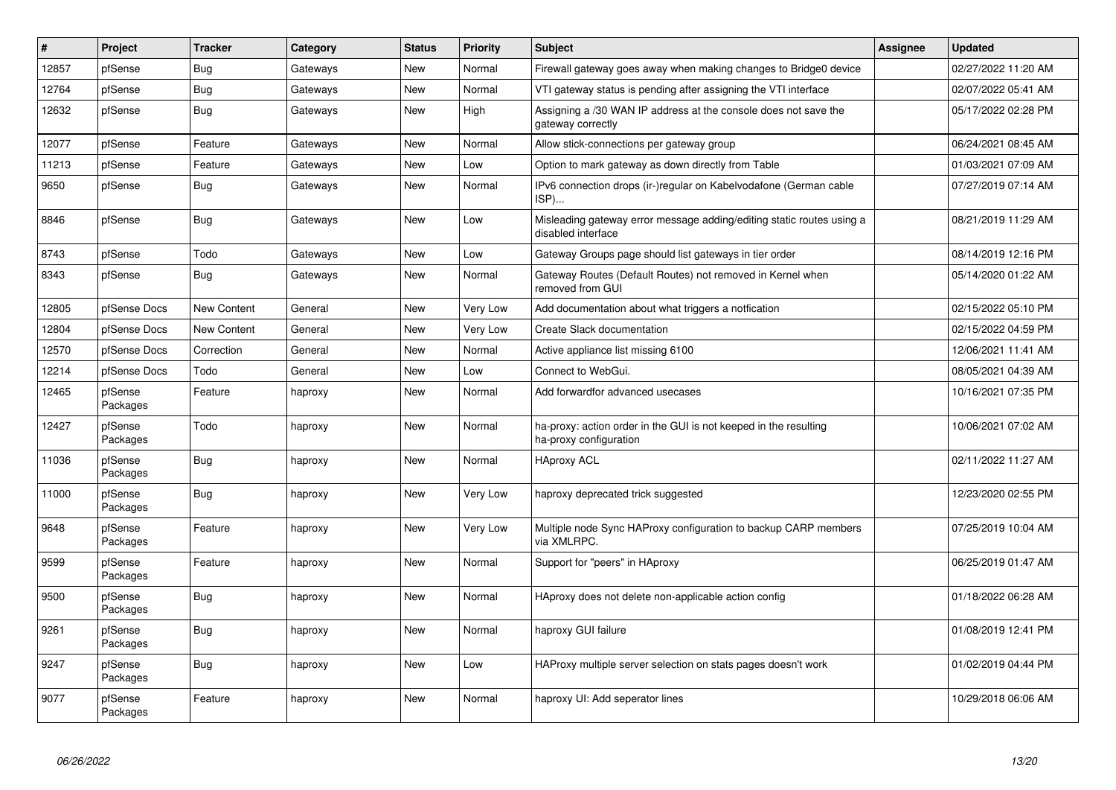| $\vert$ # | Project             | <b>Tracker</b>     | Category | <b>Status</b> | <b>Priority</b> | <b>Subject</b>                                                                              | <b>Assignee</b> | <b>Updated</b>      |
|-----------|---------------------|--------------------|----------|---------------|-----------------|---------------------------------------------------------------------------------------------|-----------------|---------------------|
| 12857     | pfSense             | Bug                | Gateways | <b>New</b>    | Normal          | Firewall gateway goes away when making changes to Bridge0 device                            |                 | 02/27/2022 11:20 AM |
| 12764     | pfSense             | <b>Bug</b>         | Gateways | <b>New</b>    | Normal          | VTI gateway status is pending after assigning the VTI interface                             |                 | 02/07/2022 05:41 AM |
| 12632     | pfSense             | Bug                | Gateways | <b>New</b>    | High            | Assigning a /30 WAN IP address at the console does not save the<br>gateway correctly        |                 | 05/17/2022 02:28 PM |
| 12077     | pfSense             | Feature            | Gateways | <b>New</b>    | Normal          | Allow stick-connections per gateway group                                                   |                 | 06/24/2021 08:45 AM |
| 11213     | pfSense             | Feature            | Gateways | <b>New</b>    | Low             | Option to mark gateway as down directly from Table                                          |                 | 01/03/2021 07:09 AM |
| 9650      | pfSense             | <b>Bug</b>         | Gateways | <b>New</b>    | Normal          | IPv6 connection drops (ir-)regular on Kabelvodafone (German cable<br>ISP)                   |                 | 07/27/2019 07:14 AM |
| 8846      | pfSense             | Bug                | Gateways | <b>New</b>    | Low             | Misleading gateway error message adding/editing static routes using a<br>disabled interface |                 | 08/21/2019 11:29 AM |
| 8743      | pfSense             | Todo               | Gateways | <b>New</b>    | Low             | Gateway Groups page should list gateways in tier order                                      |                 | 08/14/2019 12:16 PM |
| 8343      | pfSense             | Bug                | Gateways | <b>New</b>    | Normal          | Gateway Routes (Default Routes) not removed in Kernel when<br>removed from GUI              |                 | 05/14/2020 01:22 AM |
| 12805     | pfSense Docs        | <b>New Content</b> | General  | <b>New</b>    | Very Low        | Add documentation about what triggers a notfication                                         |                 | 02/15/2022 05:10 PM |
| 12804     | pfSense Docs        | <b>New Content</b> | General  | <b>New</b>    | Very Low        | Create Slack documentation                                                                  |                 | 02/15/2022 04:59 PM |
| 12570     | pfSense Docs        | Correction         | General  | <b>New</b>    | Normal          | Active appliance list missing 6100                                                          |                 | 12/06/2021 11:41 AM |
| 12214     | pfSense Docs        | Todo               | General  | <b>New</b>    | Low             | Connect to WebGui.                                                                          |                 | 08/05/2021 04:39 AM |
| 12465     | pfSense<br>Packages | Feature            | haproxy  | <b>New</b>    | Normal          | Add forwardfor advanced usecases                                                            |                 | 10/16/2021 07:35 PM |
| 12427     | pfSense<br>Packages | Todo               | haproxy  | <b>New</b>    | Normal          | ha-proxy: action order in the GUI is not keeped in the resulting<br>ha-proxy configuration  |                 | 10/06/2021 07:02 AM |
| 11036     | pfSense<br>Packages | <b>Bug</b>         | haproxy  | <b>New</b>    | Normal          | <b>HAproxy ACL</b>                                                                          |                 | 02/11/2022 11:27 AM |
| 11000     | pfSense<br>Packages | <b>Bug</b>         | haproxy  | <b>New</b>    | Very Low        | haproxy deprecated trick suggested                                                          |                 | 12/23/2020 02:55 PM |
| 9648      | pfSense<br>Packages | Feature            | haproxy  | <b>New</b>    | Very Low        | Multiple node Sync HAProxy configuration to backup CARP members<br>via XMLRPC.              |                 | 07/25/2019 10:04 AM |
| 9599      | pfSense<br>Packages | Feature            | haproxy  | <b>New</b>    | Normal          | Support for "peers" in HAproxy                                                              |                 | 06/25/2019 01:47 AM |
| 9500      | pfSense<br>Packages | <b>Bug</b>         | haproxy  | <b>New</b>    | Normal          | HAproxy does not delete non-applicable action config                                        |                 | 01/18/2022 06:28 AM |
| 9261      | pfSense<br>Packages | <b>Bug</b>         | haproxy  | <b>New</b>    | Normal          | haproxy GUI failure                                                                         |                 | 01/08/2019 12:41 PM |
| 9247      | pfSense<br>Packages | <b>Bug</b>         | haproxy  | <b>New</b>    | Low             | HAProxy multiple server selection on stats pages doesn't work                               |                 | 01/02/2019 04:44 PM |
| 9077      | pfSense<br>Packages | Feature            | haproxy  | <b>New</b>    | Normal          | haproxy UI: Add seperator lines                                                             |                 | 10/29/2018 06:06 AM |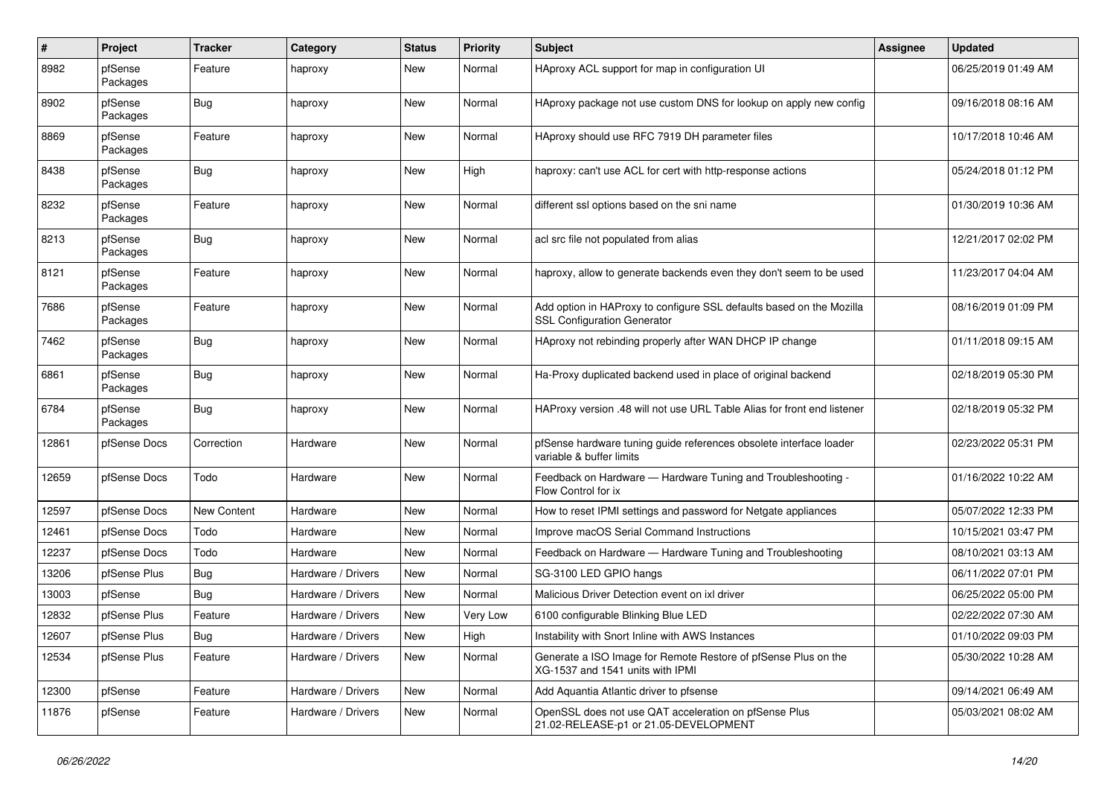| #     | Project             | <b>Tracker</b>     | Category           | <b>Status</b> | <b>Priority</b> | <b>Subject</b>                                                                                             | <b>Assignee</b> | <b>Updated</b>      |
|-------|---------------------|--------------------|--------------------|---------------|-----------------|------------------------------------------------------------------------------------------------------------|-----------------|---------------------|
| 8982  | pfSense<br>Packages | Feature            | haproxy            | <b>New</b>    | Normal          | HAproxy ACL support for map in configuration UI                                                            |                 | 06/25/2019 01:49 AM |
| 8902  | pfSense<br>Packages | <b>Bug</b>         | haproxy            | <b>New</b>    | Normal          | HAproxy package not use custom DNS for lookup on apply new config                                          |                 | 09/16/2018 08:16 AM |
| 8869  | pfSense<br>Packages | Feature            | haproxy            | New           | Normal          | HAproxy should use RFC 7919 DH parameter files                                                             |                 | 10/17/2018 10:46 AM |
| 8438  | pfSense<br>Packages | <b>Bug</b>         | haproxy            | New           | High            | haproxy: can't use ACL for cert with http-response actions                                                 |                 | 05/24/2018 01:12 PM |
| 8232  | pfSense<br>Packages | Feature            | haproxy            | New           | Normal          | different ssl options based on the sni name                                                                |                 | 01/30/2019 10:36 AM |
| 8213  | pfSense<br>Packages | <b>Bug</b>         | haproxy            | New           | Normal          | acl src file not populated from alias                                                                      |                 | 12/21/2017 02:02 PM |
| 8121  | pfSense<br>Packages | Feature            | haproxy            | New           | Normal          | haproxy, allow to generate backends even they don't seem to be used                                        |                 | 11/23/2017 04:04 AM |
| 7686  | pfSense<br>Packages | Feature            | haproxy            | New           | Normal          | Add option in HAProxy to configure SSL defaults based on the Mozilla<br><b>SSL Configuration Generator</b> |                 | 08/16/2019 01:09 PM |
| 7462  | pfSense<br>Packages | <b>Bug</b>         | haproxy            | <b>New</b>    | Normal          | HAproxy not rebinding properly after WAN DHCP IP change                                                    |                 | 01/11/2018 09:15 AM |
| 6861  | pfSense<br>Packages | <b>Bug</b>         | haproxy            | <b>New</b>    | Normal          | Ha-Proxy duplicated backend used in place of original backend                                              |                 | 02/18/2019 05:30 PM |
| 6784  | pfSense<br>Packages | Bug                | haproxy            | New           | Normal          | HAProxy version .48 will not use URL Table Alias for front end listener                                    |                 | 02/18/2019 05:32 PM |
| 12861 | pfSense Docs        | Correction         | Hardware           | <b>New</b>    | Normal          | pfSense hardware tuning guide references obsolete interface loader<br>variable & buffer limits             |                 | 02/23/2022 05:31 PM |
| 12659 | pfSense Docs        | Todo               | Hardware           | New           | Normal          | Feedback on Hardware - Hardware Tuning and Troubleshooting -<br>Flow Control for ix                        |                 | 01/16/2022 10:22 AM |
| 12597 | pfSense Docs        | <b>New Content</b> | Hardware           | New           | Normal          | How to reset IPMI settings and password for Netgate appliances                                             |                 | 05/07/2022 12:33 PM |
| 12461 | pfSense Docs        | Todo               | Hardware           | New           | Normal          | Improve macOS Serial Command Instructions                                                                  |                 | 10/15/2021 03:47 PM |
| 12237 | pfSense Docs        | Todo               | Hardware           | <b>New</b>    | Normal          | Feedback on Hardware - Hardware Tuning and Troubleshooting                                                 |                 | 08/10/2021 03:13 AM |
| 13206 | pfSense Plus        | <b>Bug</b>         | Hardware / Drivers | <b>New</b>    | Normal          | SG-3100 LED GPIO hangs                                                                                     |                 | 06/11/2022 07:01 PM |
| 13003 | pfSense             | <b>Bug</b>         | Hardware / Drivers | <b>New</b>    | Normal          | Malicious Driver Detection event on ixl driver                                                             |                 | 06/25/2022 05:00 PM |
| 12832 | pfSense Plus        | Feature            | Hardware / Drivers | <b>New</b>    | Very Low        | 6100 configurable Blinking Blue LED                                                                        |                 | 02/22/2022 07:30 AM |
| 12607 | pfSense Plus        | Bug                | Hardware / Drivers | New           | High            | Instability with Snort Inline with AWS Instances                                                           |                 | 01/10/2022 09:03 PM |
| 12534 | pfSense Plus        | Feature            | Hardware / Drivers | New           | Normal          | Generate a ISO Image for Remote Restore of pfSense Plus on the<br>XG-1537 and 1541 units with IPMI         |                 | 05/30/2022 10:28 AM |
| 12300 | pfSense             | Feature            | Hardware / Drivers | New           | Normal          | Add Aquantia Atlantic driver to pfsense                                                                    |                 | 09/14/2021 06:49 AM |
| 11876 | pfSense             | Feature            | Hardware / Drivers | New           | Normal          | OpenSSL does not use QAT acceleration on pfSense Plus<br>21.02-RELEASE-p1 or 21.05-DEVELOPMENT             |                 | 05/03/2021 08:02 AM |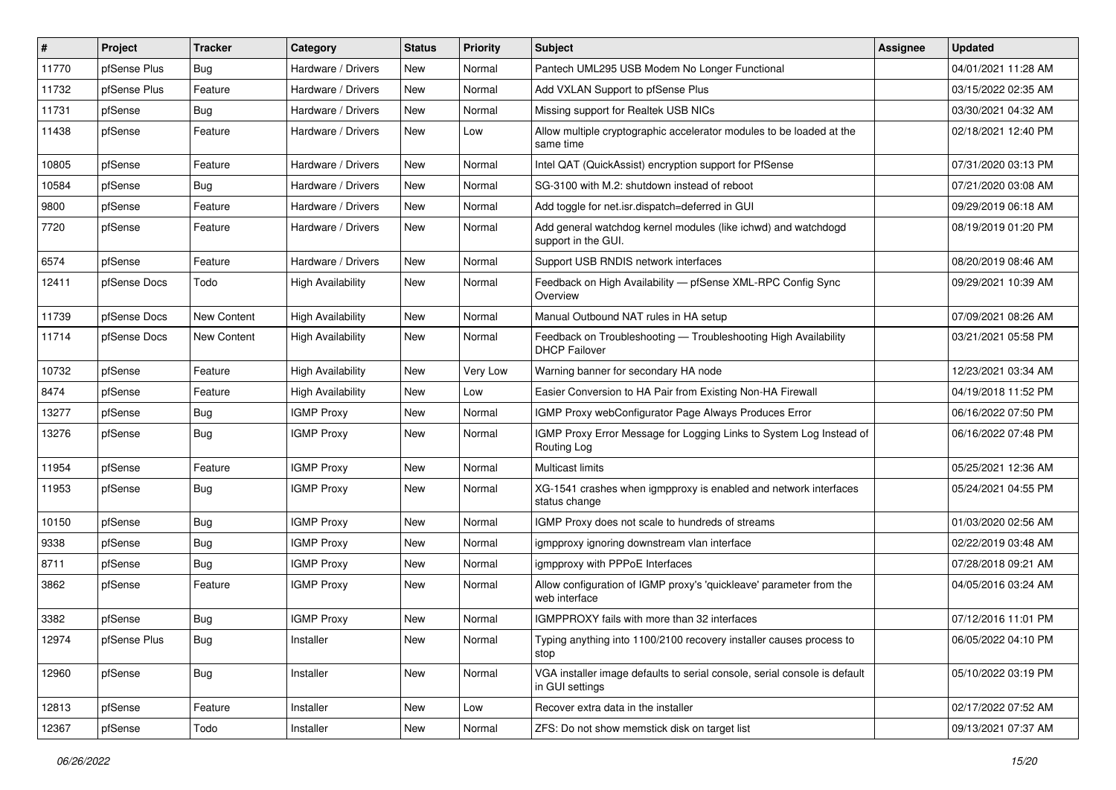| #     | Project      | <b>Tracker</b>     | Category                 | <b>Status</b> | <b>Priority</b> | <b>Subject</b>                                                                               | <b>Assignee</b> | <b>Updated</b>      |
|-------|--------------|--------------------|--------------------------|---------------|-----------------|----------------------------------------------------------------------------------------------|-----------------|---------------------|
| 11770 | pfSense Plus | Bug                | Hardware / Drivers       | New           | Normal          | Pantech UML295 USB Modem No Longer Functional                                                |                 | 04/01/2021 11:28 AM |
| 11732 | pfSense Plus | Feature            | Hardware / Drivers       | <b>New</b>    | Normal          | Add VXLAN Support to pfSense Plus                                                            |                 | 03/15/2022 02:35 AM |
| 11731 | pfSense      | Bug                | Hardware / Drivers       | New           | Normal          | Missing support for Realtek USB NICs                                                         |                 | 03/30/2021 04:32 AM |
| 11438 | pfSense      | Feature            | Hardware / Drivers       | <b>New</b>    | Low             | Allow multiple cryptographic accelerator modules to be loaded at the<br>same time            |                 | 02/18/2021 12:40 PM |
| 10805 | pfSense      | Feature            | Hardware / Drivers       | <b>New</b>    | Normal          | Intel QAT (QuickAssist) encryption support for PfSense                                       |                 | 07/31/2020 03:13 PM |
| 10584 | pfSense      | <b>Bug</b>         | Hardware / Drivers       | New           | Normal          | SG-3100 with M.2: shutdown instead of reboot                                                 |                 | 07/21/2020 03:08 AM |
| 9800  | pfSense      | Feature            | Hardware / Drivers       | <b>New</b>    | Normal          | Add toggle for net.isr.dispatch=deferred in GUI                                              |                 | 09/29/2019 06:18 AM |
| 7720  | pfSense      | Feature            | Hardware / Drivers       | New           | Normal          | Add general watchdog kernel modules (like ichwd) and watchdogd<br>support in the GUI.        |                 | 08/19/2019 01:20 PM |
| 6574  | pfSense      | Feature            | Hardware / Drivers       | <b>New</b>    | Normal          | Support USB RNDIS network interfaces                                                         |                 | 08/20/2019 08:46 AM |
| 12411 | pfSense Docs | Todo               | <b>High Availability</b> | <b>New</b>    | Normal          | Feedback on High Availability - pfSense XML-RPC Config Sync<br>Overview                      |                 | 09/29/2021 10:39 AM |
| 11739 | pfSense Docs | New Content        | <b>High Availability</b> | <b>New</b>    | Normal          | Manual Outbound NAT rules in HA setup                                                        |                 | 07/09/2021 08:26 AM |
| 11714 | pfSense Docs | <b>New Content</b> | <b>High Availability</b> | New           | Normal          | Feedback on Troubleshooting - Troubleshooting High Availability<br><b>DHCP Failover</b>      |                 | 03/21/2021 05:58 PM |
| 10732 | pfSense      | Feature            | <b>High Availability</b> | New           | Very Low        | Warning banner for secondary HA node                                                         |                 | 12/23/2021 03:34 AM |
| 8474  | pfSense      | Feature            | <b>High Availability</b> | <b>New</b>    | Low             | Easier Conversion to HA Pair from Existing Non-HA Firewall                                   |                 | 04/19/2018 11:52 PM |
| 13277 | pfSense      | <b>Bug</b>         | <b>IGMP Proxy</b>        | New           | Normal          | IGMP Proxy webConfigurator Page Always Produces Error                                        |                 | 06/16/2022 07:50 PM |
| 13276 | pfSense      | Bug                | <b>IGMP Proxy</b>        | New           | Normal          | IGMP Proxy Error Message for Logging Links to System Log Instead of<br>Routing Log           |                 | 06/16/2022 07:48 PM |
| 11954 | pfSense      | Feature            | <b>IGMP Proxy</b>        | <b>New</b>    | Normal          | Multicast limits                                                                             |                 | 05/25/2021 12:36 AM |
| 11953 | pfSense      | <b>Bug</b>         | <b>IGMP Proxy</b>        | New           | Normal          | XG-1541 crashes when igmpproxy is enabled and network interfaces<br>status change            |                 | 05/24/2021 04:55 PM |
| 10150 | pfSense      | Bug                | <b>IGMP Proxy</b>        | New           | Normal          | IGMP Proxy does not scale to hundreds of streams                                             |                 | 01/03/2020 02:56 AM |
| 9338  | pfSense      | <b>Bug</b>         | <b>IGMP Proxy</b>        | <b>New</b>    | Normal          | igmpproxy ignoring downstream vlan interface                                                 |                 | 02/22/2019 03:48 AM |
| 8711  | pfSense      | <b>Bug</b>         | <b>IGMP Proxy</b>        | New           | Normal          | igmpproxy with PPPoE Interfaces                                                              |                 | 07/28/2018 09:21 AM |
| 3862  | pfSense      | Feature            | <b>IGMP Proxy</b>        | New           | Normal          | Allow configuration of IGMP proxy's 'quickleave' parameter from the<br>web interface         |                 | 04/05/2016 03:24 AM |
| 3382  | pfSense      | Bug                | <b>IGMP Proxy</b>        | <b>New</b>    | Normal          | IGMPPROXY fails with more than 32 interfaces                                                 |                 | 07/12/2016 11:01 PM |
| 12974 | pfSense Plus | <b>Bug</b>         | Installer                | New           | Normal          | Typing anything into 1100/2100 recovery installer causes process to<br>stop                  |                 | 06/05/2022 04:10 PM |
| 12960 | pfSense      | <b>Bug</b>         | Installer                | New           | Normal          | VGA installer image defaults to serial console, serial console is default<br>in GUI settings |                 | 05/10/2022 03:19 PM |
| 12813 | pfSense      | Feature            | Installer                | New           | Low             | Recover extra data in the installer                                                          |                 | 02/17/2022 07:52 AM |
| 12367 | pfSense      | Todo               | Installer                | New           | Normal          | ZFS: Do not show memstick disk on target list                                                |                 | 09/13/2021 07:37 AM |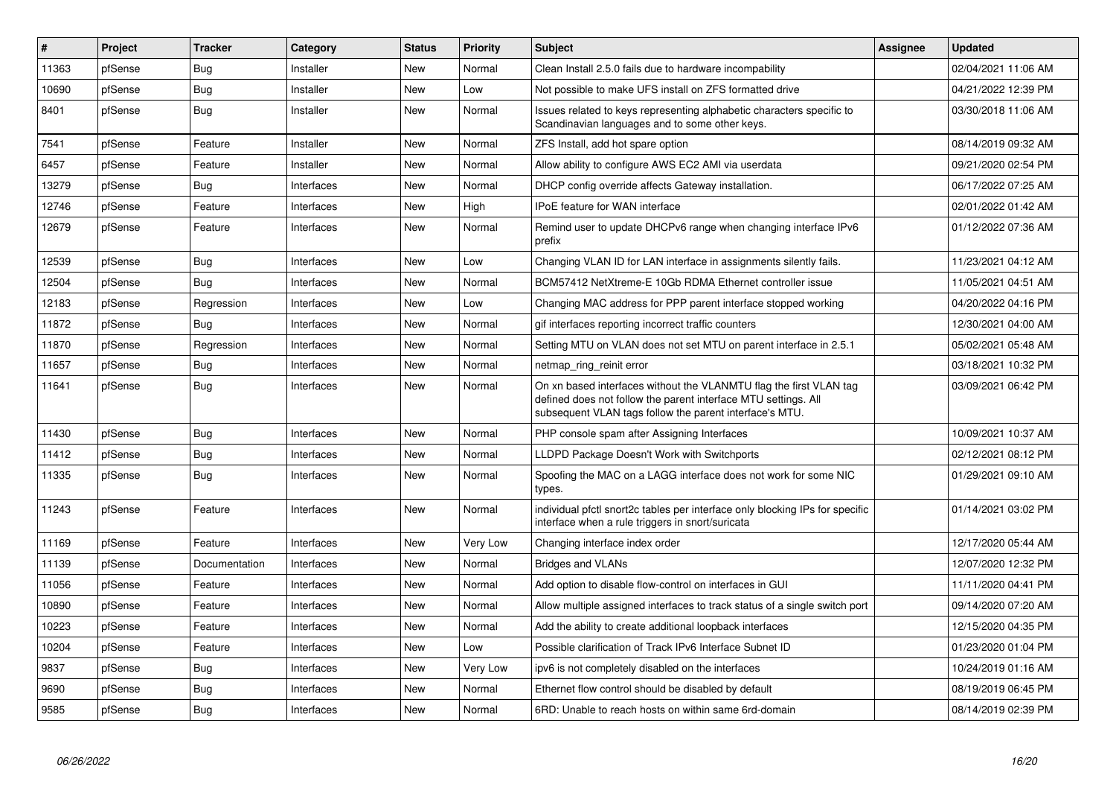| #     | Project | <b>Tracker</b> | Category   | <b>Status</b> | <b>Priority</b> | <b>Subject</b>                                                                                                                                                                                  | Assignee | <b>Updated</b>      |
|-------|---------|----------------|------------|---------------|-----------------|-------------------------------------------------------------------------------------------------------------------------------------------------------------------------------------------------|----------|---------------------|
| 11363 | pfSense | <b>Bug</b>     | Installer  | <b>New</b>    | Normal          | Clean Install 2.5.0 fails due to hardware incompability                                                                                                                                         |          | 02/04/2021 11:06 AM |
| 10690 | pfSense | Bug            | Installer  | New           | Low             | Not possible to make UFS install on ZFS formatted drive                                                                                                                                         |          | 04/21/2022 12:39 PM |
| 8401  | pfSense | <b>Bug</b>     | Installer  | New           | Normal          | Issues related to keys representing alphabetic characters specific to<br>Scandinavian languages and to some other keys.                                                                         |          | 03/30/2018 11:06 AM |
| 7541  | pfSense | Feature        | Installer  | New           | Normal          | ZFS Install, add hot spare option                                                                                                                                                               |          | 08/14/2019 09:32 AM |
| 6457  | pfSense | Feature        | Installer  | New           | Normal          | Allow ability to configure AWS EC2 AMI via userdata                                                                                                                                             |          | 09/21/2020 02:54 PM |
| 13279 | pfSense | Bug            | Interfaces | New           | Normal          | DHCP config override affects Gateway installation.                                                                                                                                              |          | 06/17/2022 07:25 AM |
| 12746 | pfSense | Feature        | Interfaces | New           | High            | IPoE feature for WAN interface                                                                                                                                                                  |          | 02/01/2022 01:42 AM |
| 12679 | pfSense | Feature        | Interfaces | New           | Normal          | Remind user to update DHCPv6 range when changing interface IPv6<br>prefix                                                                                                                       |          | 01/12/2022 07:36 AM |
| 12539 | pfSense | Bug            | Interfaces | New           | Low             | Changing VLAN ID for LAN interface in assignments silently fails.                                                                                                                               |          | 11/23/2021 04:12 AM |
| 12504 | pfSense | Bug            | Interfaces | New           | Normal          | BCM57412 NetXtreme-E 10Gb RDMA Ethernet controller issue                                                                                                                                        |          | 11/05/2021 04:51 AM |
| 12183 | pfSense | Regression     | Interfaces | New           | Low             | Changing MAC address for PPP parent interface stopped working                                                                                                                                   |          | 04/20/2022 04:16 PM |
| 11872 | pfSense | Bug            | Interfaces | <b>New</b>    | Normal          | gif interfaces reporting incorrect traffic counters                                                                                                                                             |          | 12/30/2021 04:00 AM |
| 11870 | pfSense | Regression     | Interfaces | <b>New</b>    | Normal          | Setting MTU on VLAN does not set MTU on parent interface in 2.5.1                                                                                                                               |          | 05/02/2021 05:48 AM |
| 11657 | pfSense | <b>Bug</b>     | Interfaces | New           | Normal          | netmap ring reinit error                                                                                                                                                                        |          | 03/18/2021 10:32 PM |
| 11641 | pfSense | <b>Bug</b>     | Interfaces | <b>New</b>    | Normal          | On xn based interfaces without the VLANMTU flag the first VLAN tag<br>defined does not follow the parent interface MTU settings. All<br>subsequent VLAN tags follow the parent interface's MTU. |          | 03/09/2021 06:42 PM |
| 11430 | pfSense | Bug            | Interfaces | <b>New</b>    | Normal          | PHP console spam after Assigning Interfaces                                                                                                                                                     |          | 10/09/2021 10:37 AM |
| 11412 | pfSense | Bug            | Interfaces | <b>New</b>    | Normal          | LLDPD Package Doesn't Work with Switchports                                                                                                                                                     |          | 02/12/2021 08:12 PM |
| 11335 | pfSense | <b>Bug</b>     | Interfaces | <b>New</b>    | Normal          | Spoofing the MAC on a LAGG interface does not work for some NIC<br>types.                                                                                                                       |          | 01/29/2021 09:10 AM |
| 11243 | pfSense | Feature        | Interfaces | <b>New</b>    | Normal          | individual pfctl snort2c tables per interface only blocking IPs for specific<br>interface when a rule triggers in snort/suricata                                                                |          | 01/14/2021 03:02 PM |
| 11169 | pfSense | Feature        | Interfaces | <b>New</b>    | Very Low        | Changing interface index order                                                                                                                                                                  |          | 12/17/2020 05:44 AM |
| 11139 | pfSense | Documentation  | Interfaces | New           | Normal          | <b>Bridges and VLANs</b>                                                                                                                                                                        |          | 12/07/2020 12:32 PM |
| 11056 | pfSense | Feature        | Interfaces | New           | Normal          | Add option to disable flow-control on interfaces in GUI                                                                                                                                         |          | 11/11/2020 04:41 PM |
| 10890 | pfSense | Feature        | Interfaces | New           | Normal          | Allow multiple assigned interfaces to track status of a single switch port                                                                                                                      |          | 09/14/2020 07:20 AM |
| 10223 | pfSense | Feature        | Interfaces | <b>New</b>    | Normal          | Add the ability to create additional loopback interfaces                                                                                                                                        |          | 12/15/2020 04:35 PM |
| 10204 | pfSense | Feature        | Interfaces | <b>New</b>    | Low             | Possible clarification of Track IPv6 Interface Subnet ID                                                                                                                                        |          | 01/23/2020 01:04 PM |
| 9837  | pfSense | Bug            | Interfaces | New           | Very Low        | ipv6 is not completely disabled on the interfaces                                                                                                                                               |          | 10/24/2019 01:16 AM |
| 9690  | pfSense | <b>Bug</b>     | Interfaces | New           | Normal          | Ethernet flow control should be disabled by default                                                                                                                                             |          | 08/19/2019 06:45 PM |
| 9585  | pfSense | <b>Bug</b>     | Interfaces | New           | Normal          | 6RD: Unable to reach hosts on within same 6rd-domain                                                                                                                                            |          | 08/14/2019 02:39 PM |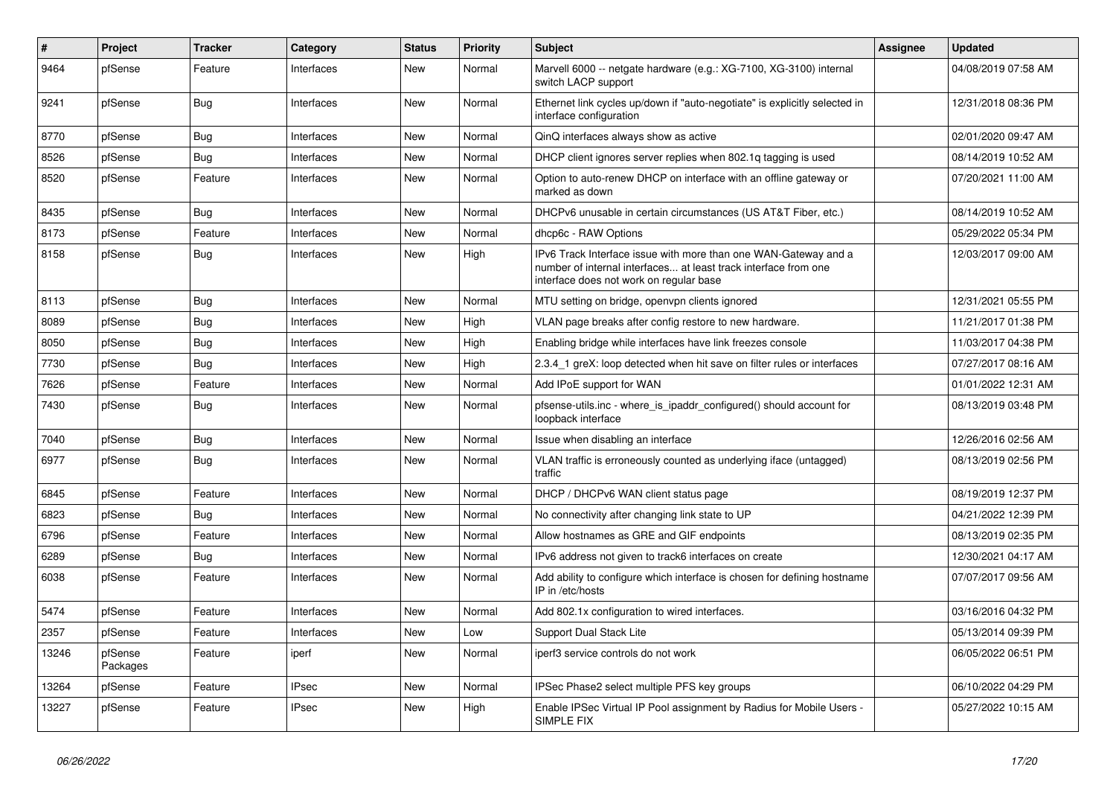| $\vert$ # | <b>Project</b>      | <b>Tracker</b> | Category     | <b>Status</b> | <b>Priority</b> | <b>Subject</b>                                                                                                                                                                | <b>Assignee</b> | <b>Updated</b>      |
|-----------|---------------------|----------------|--------------|---------------|-----------------|-------------------------------------------------------------------------------------------------------------------------------------------------------------------------------|-----------------|---------------------|
| 9464      | pfSense             | Feature        | Interfaces   | New           | Normal          | Marvell 6000 -- netgate hardware (e.g.: XG-7100, XG-3100) internal<br>switch LACP support                                                                                     |                 | 04/08/2019 07:58 AM |
| 9241      | pfSense             | <b>Bug</b>     | Interfaces   | New           | Normal          | Ethernet link cycles up/down if "auto-negotiate" is explicitly selected in<br>interface configuration                                                                         |                 | 12/31/2018 08:36 PM |
| 8770      | pfSense             | Bug            | Interfaces   | <b>New</b>    | Normal          | QinQ interfaces always show as active                                                                                                                                         |                 | 02/01/2020 09:47 AM |
| 8526      | pfSense             | Bug            | Interfaces   | <b>New</b>    | Normal          | DHCP client ignores server replies when 802.1q tagging is used                                                                                                                |                 | 08/14/2019 10:52 AM |
| 8520      | pfSense             | Feature        | Interfaces   | New           | Normal          | Option to auto-renew DHCP on interface with an offline gateway or<br>marked as down                                                                                           |                 | 07/20/2021 11:00 AM |
| 8435      | pfSense             | Bug            | Interfaces   | New           | Normal          | DHCPv6 unusable in certain circumstances (US AT&T Fiber, etc.)                                                                                                                |                 | 08/14/2019 10:52 AM |
| 8173      | pfSense             | Feature        | Interfaces   | New           | Normal          | dhcp6c - RAW Options                                                                                                                                                          |                 | 05/29/2022 05:34 PM |
| 8158      | pfSense             | <b>Bug</b>     | Interfaces   | New           | High            | IPv6 Track Interface issue with more than one WAN-Gateway and a<br>number of internal interfaces at least track interface from one<br>interface does not work on regular base |                 | 12/03/2017 09:00 AM |
| 8113      | pfSense             | <b>Bug</b>     | Interfaces   | <b>New</b>    | Normal          | MTU setting on bridge, openvpn clients ignored                                                                                                                                |                 | 12/31/2021 05:55 PM |
| 8089      | pfSense             | <b>Bug</b>     | Interfaces   | <b>New</b>    | High            | VLAN page breaks after config restore to new hardware.                                                                                                                        |                 | 11/21/2017 01:38 PM |
| 8050      | pfSense             | <b>Bug</b>     | Interfaces   | New           | High            | Enabling bridge while interfaces have link freezes console                                                                                                                    |                 | 11/03/2017 04:38 PM |
| 7730      | pfSense             | Bug            | Interfaces   | New           | High            | 2.3.4 1 greX: loop detected when hit save on filter rules or interfaces                                                                                                       |                 | 07/27/2017 08:16 AM |
| 7626      | pfSense             | Feature        | Interfaces   | <b>New</b>    | Normal          | Add IPoE support for WAN                                                                                                                                                      |                 | 01/01/2022 12:31 AM |
| 7430      | pfSense             | <b>Bug</b>     | Interfaces   | New           | Normal          | pfsense-utils.inc - where is ipaddr configured() should account for<br>loopback interface                                                                                     |                 | 08/13/2019 03:48 PM |
| 7040      | pfSense             | <b>Bug</b>     | Interfaces   | New           | Normal          | Issue when disabling an interface                                                                                                                                             |                 | 12/26/2016 02:56 AM |
| 6977      | pfSense             | <b>Bug</b>     | Interfaces   | New           | Normal          | VLAN traffic is erroneously counted as underlying iface (untagged)<br>traffic                                                                                                 |                 | 08/13/2019 02:56 PM |
| 6845      | pfSense             | Feature        | Interfaces   | New           | Normal          | DHCP / DHCPv6 WAN client status page                                                                                                                                          |                 | 08/19/2019 12:37 PM |
| 6823      | pfSense             | Bug            | Interfaces   | <b>New</b>    | Normal          | No connectivity after changing link state to UP                                                                                                                               |                 | 04/21/2022 12:39 PM |
| 6796      | pfSense             | Feature        | Interfaces   | <b>New</b>    | Normal          | Allow hostnames as GRE and GIF endpoints                                                                                                                                      |                 | 08/13/2019 02:35 PM |
| 6289      | pfSense             | <b>Bug</b>     | Interfaces   | <b>New</b>    | Normal          | IPv6 address not given to track6 interfaces on create                                                                                                                         |                 | 12/30/2021 04:17 AM |
| 6038      | pfSense             | Feature        | Interfaces   | New           | Normal          | Add ability to configure which interface is chosen for defining hostname<br>IP in /etc/hosts                                                                                  |                 | 07/07/2017 09:56 AM |
| 5474      | pfSense             | Feature        | Interfaces   | New           | Normal          | Add 802.1x configuration to wired interfaces.                                                                                                                                 |                 | 03/16/2016 04:32 PM |
| 2357      | pfSense             | Feature        | Interfaces   | New           | Low             | Support Dual Stack Lite                                                                                                                                                       |                 | 05/13/2014 09:39 PM |
| 13246     | pfSense<br>Packages | Feature        | iperf        | New           | Normal          | iperf3 service controls do not work                                                                                                                                           |                 | 06/05/2022 06:51 PM |
| 13264     | pfSense             | Feature        | <b>IPsec</b> | New           | Normal          | IPSec Phase2 select multiple PFS key groups                                                                                                                                   |                 | 06/10/2022 04:29 PM |
| 13227     | pfSense             | Feature        | <b>IPsec</b> | New           | High            | Enable IPSec Virtual IP Pool assignment by Radius for Mobile Users -<br>SIMPLE FIX                                                                                            |                 | 05/27/2022 10:15 AM |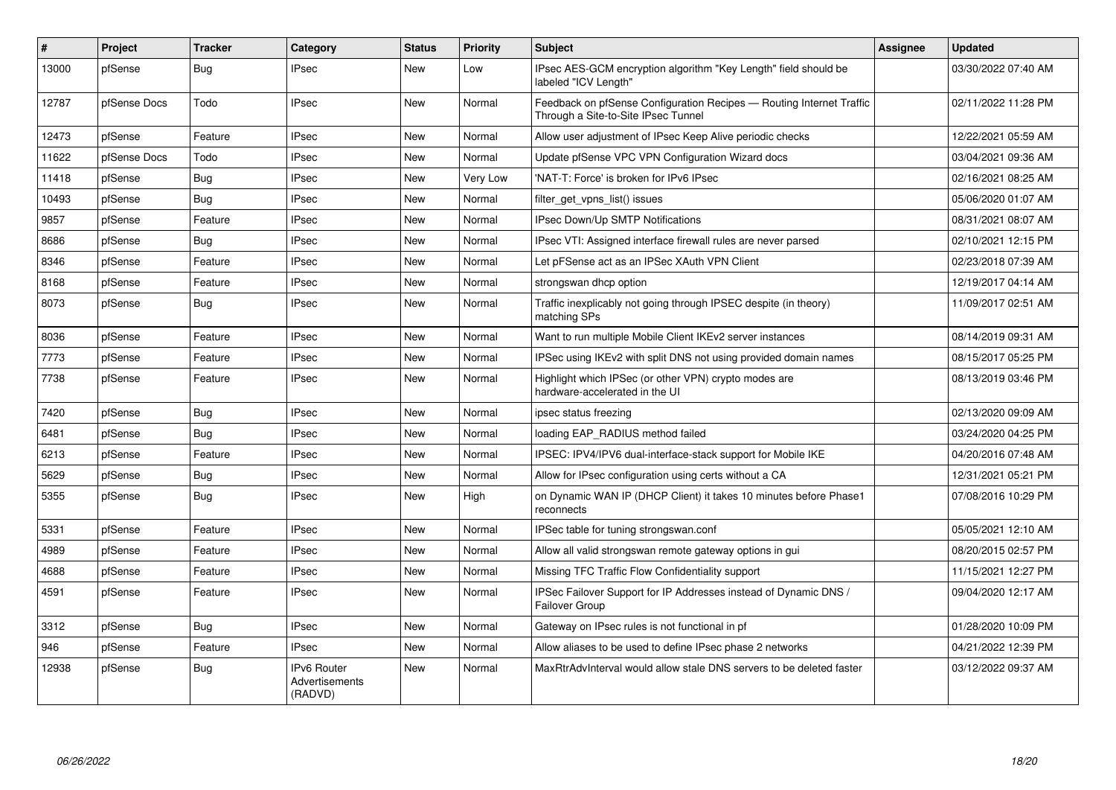| $\#$  | <b>Project</b> | <b>Tracker</b> | Category                                        | <b>Status</b> | <b>Priority</b> | <b>Subject</b>                                                                                              | <b>Assignee</b> | <b>Updated</b>      |
|-------|----------------|----------------|-------------------------------------------------|---------------|-----------------|-------------------------------------------------------------------------------------------------------------|-----------------|---------------------|
| 13000 | pfSense        | Bug            | <b>IPsec</b>                                    | New           | Low             | IPsec AES-GCM encryption algorithm "Key Length" field should be<br>labeled "ICV Length"                     |                 | 03/30/2022 07:40 AM |
| 12787 | pfSense Docs   | Todo           | <b>IPsec</b>                                    | <b>New</b>    | Normal          | Feedback on pfSense Configuration Recipes - Routing Internet Traffic<br>Through a Site-to-Site IPsec Tunnel |                 | 02/11/2022 11:28 PM |
| 12473 | pfSense        | Feature        | <b>IPsec</b>                                    | <b>New</b>    | Normal          | Allow user adjustment of IPsec Keep Alive periodic checks                                                   |                 | 12/22/2021 05:59 AM |
| 11622 | pfSense Docs   | Todo           | <b>IPsec</b>                                    | <b>New</b>    | Normal          | Update pfSense VPC VPN Configuration Wizard docs                                                            |                 | 03/04/2021 09:36 AM |
| 11418 | pfSense        | Bug            | <b>IPsec</b>                                    | <b>New</b>    | Very Low        | 'NAT-T: Force' is broken for IPv6 IPsec                                                                     |                 | 02/16/2021 08:25 AM |
| 10493 | pfSense        | Bug            | IPsec                                           | New           | Normal          | filter get vpns list() issues                                                                               |                 | 05/06/2020 01:07 AM |
| 9857  | pfSense        | Feature        | <b>IPsec</b>                                    | <b>New</b>    | Normal          | <b>IPsec Down/Up SMTP Notifications</b>                                                                     |                 | 08/31/2021 08:07 AM |
| 8686  | pfSense        | Bug            | <b>IPsec</b>                                    | <b>New</b>    | Normal          | IPsec VTI: Assigned interface firewall rules are never parsed                                               |                 | 02/10/2021 12:15 PM |
| 8346  | pfSense        | Feature        | IPsec                                           | <b>New</b>    | Normal          | Let pFSense act as an IPSec XAuth VPN Client                                                                |                 | 02/23/2018 07:39 AM |
| 8168  | pfSense        | Feature        | <b>IPsec</b>                                    | <b>New</b>    | Normal          | strongswan dhcp option                                                                                      |                 | 12/19/2017 04:14 AM |
| 8073  | pfSense        | <b>Bug</b>     | <b>IPsec</b>                                    | New           | Normal          | Traffic inexplicably not going through IPSEC despite (in theory)<br>matching SPs                            |                 | 11/09/2017 02:51 AM |
| 8036  | pfSense        | Feature        | <b>IPsec</b>                                    | <b>New</b>    | Normal          | Want to run multiple Mobile Client IKEv2 server instances                                                   |                 | 08/14/2019 09:31 AM |
| 7773  | pfSense        | Feature        | <b>IPsec</b>                                    | New           | Normal          | IPSec using IKEv2 with split DNS not using provided domain names                                            |                 | 08/15/2017 05:25 PM |
| 7738  | pfSense        | Feature        | <b>IPsec</b>                                    | <b>New</b>    | Normal          | Highlight which IPSec (or other VPN) crypto modes are<br>hardware-accelerated in the UI                     |                 | 08/13/2019 03:46 PM |
| 7420  | pfSense        | Bug            | <b>IPsec</b>                                    | <b>New</b>    | Normal          | ipsec status freezing                                                                                       |                 | 02/13/2020 09:09 AM |
| 6481  | pfSense        | Bug            | <b>IPsec</b>                                    | <b>New</b>    | Normal          | loading EAP_RADIUS method failed                                                                            |                 | 03/24/2020 04:25 PM |
| 6213  | pfSense        | Feature        | <b>IPsec</b>                                    | New           | Normal          | IPSEC: IPV4/IPV6 dual-interface-stack support for Mobile IKE                                                |                 | 04/20/2016 07:48 AM |
| 5629  | pfSense        | Bug            | <b>IPsec</b>                                    | New           | Normal          | Allow for IPsec configuration using certs without a CA                                                      |                 | 12/31/2021 05:21 PM |
| 5355  | pfSense        | Bug            | <b>IPsec</b>                                    | New           | High            | on Dynamic WAN IP (DHCP Client) it takes 10 minutes before Phase1<br>reconnects                             |                 | 07/08/2016 10:29 PM |
| 5331  | pfSense        | Feature        | <b>IPsec</b>                                    | New           | Normal          | IPSec table for tuning strongswan.conf                                                                      |                 | 05/05/2021 12:10 AM |
| 4989  | pfSense        | Feature        | <b>IPsec</b>                                    | <b>New</b>    | Normal          | Allow all valid strongswan remote gateway options in gui                                                    |                 | 08/20/2015 02:57 PM |
| 4688  | pfSense        | Feature        | <b>IPsec</b>                                    | <b>New</b>    | Normal          | Missing TFC Traffic Flow Confidentiality support                                                            |                 | 11/15/2021 12:27 PM |
| 4591  | pfSense        | Feature        | <b>IPsec</b>                                    | New           | Normal          | IPSec Failover Support for IP Addresses instead of Dynamic DNS /<br><b>Failover Group</b>                   |                 | 09/04/2020 12:17 AM |
| 3312  | pfSense        | Bug            | <b>IPsec</b>                                    | New           | Normal          | Gateway on IPsec rules is not functional in pf                                                              |                 | 01/28/2020 10:09 PM |
| 946   | pfSense        | Feature        | <b>IPsec</b>                                    | <b>New</b>    | Normal          | Allow aliases to be used to define IPsec phase 2 networks                                                   |                 | 04/21/2022 12:39 PM |
| 12938 | pfSense        | Bug            | <b>IPv6 Router</b><br>Advertisements<br>(RADVD) | New           | Normal          | MaxRtrAdvInterval would allow stale DNS servers to be deleted faster                                        |                 | 03/12/2022 09:37 AM |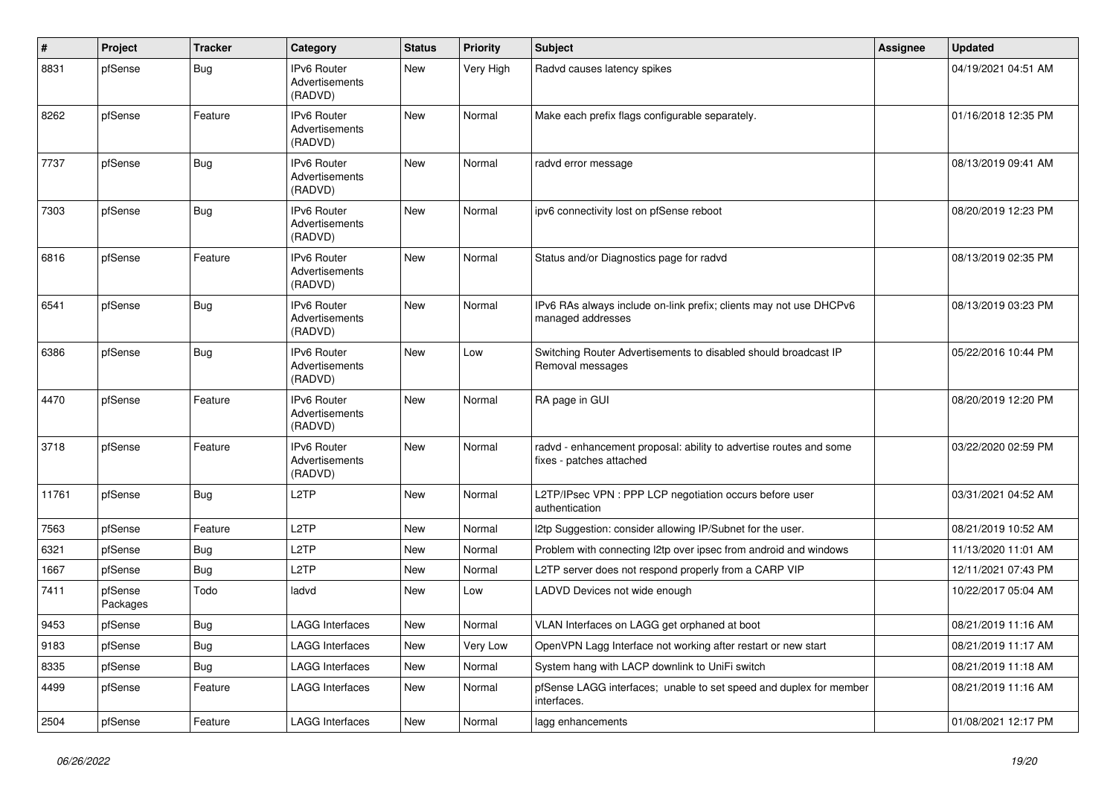| $\pmb{\#}$ | Project             | <b>Tracker</b> | Category                                        | <b>Status</b> | <b>Priority</b> | <b>Subject</b>                                                                                 | Assignee | <b>Updated</b>      |
|------------|---------------------|----------------|-------------------------------------------------|---------------|-----------------|------------------------------------------------------------------------------------------------|----------|---------------------|
| 8831       | pfSense             | Bug            | IPv6 Router<br>Advertisements<br>(RADVD)        | <b>New</b>    | Very High       | Radvd causes latency spikes                                                                    |          | 04/19/2021 04:51 AM |
| 8262       | pfSense             | Feature        | IPv6 Router<br>Advertisements<br>(RADVD)        | <b>New</b>    | Normal          | Make each prefix flags configurable separately.                                                |          | 01/16/2018 12:35 PM |
| 7737       | pfSense             | <b>Bug</b>     | <b>IPv6 Router</b><br>Advertisements<br>(RADVD) | <b>New</b>    | Normal          | radvd error message                                                                            |          | 08/13/2019 09:41 AM |
| 7303       | pfSense             | <b>Bug</b>     | <b>IPv6 Router</b><br>Advertisements<br>(RADVD) | New           | Normal          | ipv6 connectivity lost on pfSense reboot                                                       |          | 08/20/2019 12:23 PM |
| 6816       | pfSense             | Feature        | <b>IPv6 Router</b><br>Advertisements<br>(RADVD) | <b>New</b>    | Normal          | Status and/or Diagnostics page for radvd                                                       |          | 08/13/2019 02:35 PM |
| 6541       | pfSense             | <b>Bug</b>     | IPv6 Router<br>Advertisements<br>(RADVD)        | <b>New</b>    | Normal          | IPv6 RAs always include on-link prefix; clients may not use DHCPv6<br>managed addresses        |          | 08/13/2019 03:23 PM |
| 6386       | pfSense             | Bug            | <b>IPv6 Router</b><br>Advertisements<br>(RADVD) | <b>New</b>    | Low             | Switching Router Advertisements to disabled should broadcast IP<br>Removal messages            |          | 05/22/2016 10:44 PM |
| 4470       | pfSense             | Feature        | <b>IPv6 Router</b><br>Advertisements<br>(RADVD) | <b>New</b>    | Normal          | RA page in GUI                                                                                 |          | 08/20/2019 12:20 PM |
| 3718       | pfSense             | Feature        | <b>IPv6 Router</b><br>Advertisements<br>(RADVD) | <b>New</b>    | Normal          | radvd - enhancement proposal: ability to advertise routes and some<br>fixes - patches attached |          | 03/22/2020 02:59 PM |
| 11761      | pfSense             | <b>Bug</b>     | L <sub>2</sub> TP                               | <b>New</b>    | Normal          | L2TP/IPsec VPN : PPP LCP negotiation occurs before user<br>authentication                      |          | 03/31/2021 04:52 AM |
| 7563       | pfSense             | Feature        | L2TP                                            | <b>New</b>    | Normal          | 12tp Suggestion: consider allowing IP/Subnet for the user.                                     |          | 08/21/2019 10:52 AM |
| 6321       | pfSense             | <b>Bug</b>     | L2TP                                            | <b>New</b>    | Normal          | Problem with connecting I2tp over ipsec from android and windows                               |          | 11/13/2020 11:01 AM |
| 1667       | pfSense             | <b>Bug</b>     | L2TP                                            | New           | Normal          | L2TP server does not respond properly from a CARP VIP                                          |          | 12/11/2021 07:43 PM |
| 7411       | pfSense<br>Packages | Todo           | ladvd                                           | <b>New</b>    | Low             | LADVD Devices not wide enough                                                                  |          | 10/22/2017 05:04 AM |
| 9453       | pfSense             | <b>Bug</b>     | <b>LAGG Interfaces</b>                          | <b>New</b>    | Normal          | VLAN Interfaces on LAGG get orphaned at boot                                                   |          | 08/21/2019 11:16 AM |
| 9183       | pfSense             | <b>Bug</b>     | <b>LAGG Interfaces</b>                          | <b>New</b>    | Very Low        | OpenVPN Lagg Interface not working after restart or new start                                  |          | 08/21/2019 11:17 AM |
| 8335       | pfSense             | <b>Bug</b>     | <b>LAGG Interfaces</b>                          | <b>New</b>    | Normal          | System hang with LACP downlink to UniFi switch                                                 |          | 08/21/2019 11:18 AM |
| 4499       | pfSense             | Feature        | LAGG Interfaces                                 | <b>New</b>    | Normal          | pfSense LAGG interfaces; unable to set speed and duplex for member<br>interfaces.              |          | 08/21/2019 11:16 AM |
| 2504       | pfSense             | Feature        | <b>LAGG Interfaces</b>                          | New           | Normal          | lagg enhancements                                                                              |          | 01/08/2021 12:17 PM |